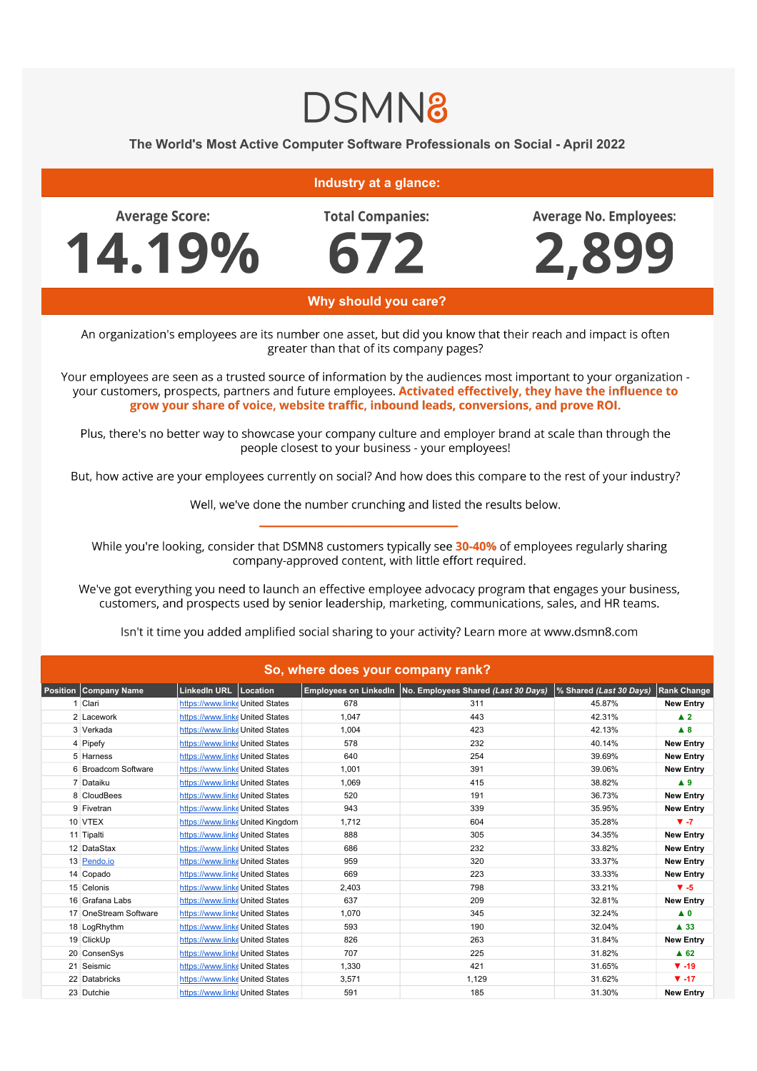## **DSMN8**

**The World's Most Active Computer Software Professionals on Social - April 2022**

## **Industry at a glance:**

**Average Score:** 

14.19%

**Total Companies:** 

672

**Average No. Employees:** 



**Why should you care?**

An organization's employees are its number one asset, but did you know that their reach and impact is often greater than that of its company pages?

Your employees are seen as a trusted source of information by the audiences most important to your organization your customers, prospects, partners and future employees. Activated effectively, they have the influence to grow your share of voice, website traffic, inbound leads, conversions, and prove ROI.

Plus, there's no better way to showcase your company culture and employer brand at scale than through the people closest to your business - your employees!

But, how active are your employees currently on social? And how does this compare to the rest of your industry?

Well, we've done the number crunching and listed the results below.

While you're looking, consider that DSMN8 customers typically see 30-40% of employees regularly sharing company-approved content, with little effort required.

We've got everything you need to launch an effective employee advocacy program that engages your business, customers, and prospects used by senior leadership, marketing, communications, sales, and HR teams.

Isn't it time you added amplified social sharing to your activity? Learn more at www.dsmn8.com

| So, where does your company rank? |                                 |                                 |       |                                                             |                         |                     |  |  |  |
|-----------------------------------|---------------------------------|---------------------------------|-------|-------------------------------------------------------------|-------------------------|---------------------|--|--|--|
| <b>Position Company Name</b>      | LinkedIn URL Location           |                                 |       | Employees on LinkedIn   No. Employees Shared (Last 30 Days) | % Shared (Last 30 Days) | <b>Rank Change</b>  |  |  |  |
| 1 Clari                           | https://www.linke United States |                                 | 678   | 311                                                         | 45.87%                  | <b>New Entry</b>    |  |  |  |
| 2 Lacework                        | https://www.linke United States |                                 | 1.047 | 443                                                         | 42.31%                  | $\blacktriangle$ 2  |  |  |  |
| 3 Verkada                         | https://www.linke United States |                                 | 1,004 | 423                                                         | 42.13%                  | A 8                 |  |  |  |
| 4 Pipefy                          | https://www.linke United States |                                 | 578   | 232                                                         | 40.14%                  | <b>New Entry</b>    |  |  |  |
| 5 Harness                         | https://www.linke United States |                                 | 640   | 254                                                         | 39.69%                  | <b>New Entry</b>    |  |  |  |
| 6 Broadcom Software               | https://www.linke United States |                                 | 1.001 | 391                                                         | 39.06%                  | <b>New Entry</b>    |  |  |  |
| 7 Dataiku                         | https://www.linke United States |                                 | 1.069 | 415                                                         | 38.82%                  | A9                  |  |  |  |
| 8 CloudBees                       | https://www.linke United States |                                 | 520   | 191                                                         | 36.73%                  | <b>New Entry</b>    |  |  |  |
| 9 Fivetran                        | https://www.linke United States |                                 | 943   | 339                                                         | 35.95%                  | <b>New Entry</b>    |  |  |  |
| 10 VTEX                           |                                 | https://www.linkeUnited Kingdom | 1,712 | 604                                                         | 35.28%                  | $V - 7$             |  |  |  |
| 11 Tipalti                        | https://www.linke United States |                                 | 888   | 305                                                         | 34.35%                  | <b>New Entry</b>    |  |  |  |
| 12 DataStax                       | https://www.linke United States |                                 | 686   | 232                                                         | 33.82%                  | <b>New Entry</b>    |  |  |  |
| 13 Pendo.io                       | https://www.linke United States |                                 | 959   | 320                                                         | 33.37%                  | <b>New Entry</b>    |  |  |  |
| 14 Copado                         | https://www.linke United States |                                 | 669   | 223                                                         | 33.33%                  | <b>New Entry</b>    |  |  |  |
| 15 Celonis                        | https://www.linke United States |                                 | 2,403 | 798                                                         | 33.21%                  | $V - 5$             |  |  |  |
| 16 Grafana Labs                   | https://www.linke United States |                                 | 637   | 209                                                         | 32.81%                  | <b>New Entry</b>    |  |  |  |
| 17 OneStream Software             | https://www.linke United States |                                 | 1,070 | 345                                                         | 32.24%                  | $\blacktriangle$ 0  |  |  |  |
| 18 LogRhythm                      | https://www.linke United States |                                 | 593   | 190                                                         | 32.04%                  | $\blacktriangle$ 33 |  |  |  |
| 19 ClickUp                        | https://www.linke United States |                                 | 826   | 263                                                         | 31.84%                  | <b>New Entry</b>    |  |  |  |
| 20 ConsenSys                      | https://www.linke United States |                                 | 707   | 225                                                         | 31.82%                  | $A$ 62              |  |  |  |
| 21 Seismic                        | https://www.linke United States |                                 | 1,330 | 421                                                         | 31.65%                  | $\Psi - 19$         |  |  |  |
| 22 Databricks                     | https://www.linke United States |                                 | 3,571 | 1,129                                                       | 31.62%                  | $\Psi - 17$         |  |  |  |
| 23 Dutchie                        | https://www.linke United States |                                 | 591   | 185                                                         | 31.30%                  | <b>New Entry</b>    |  |  |  |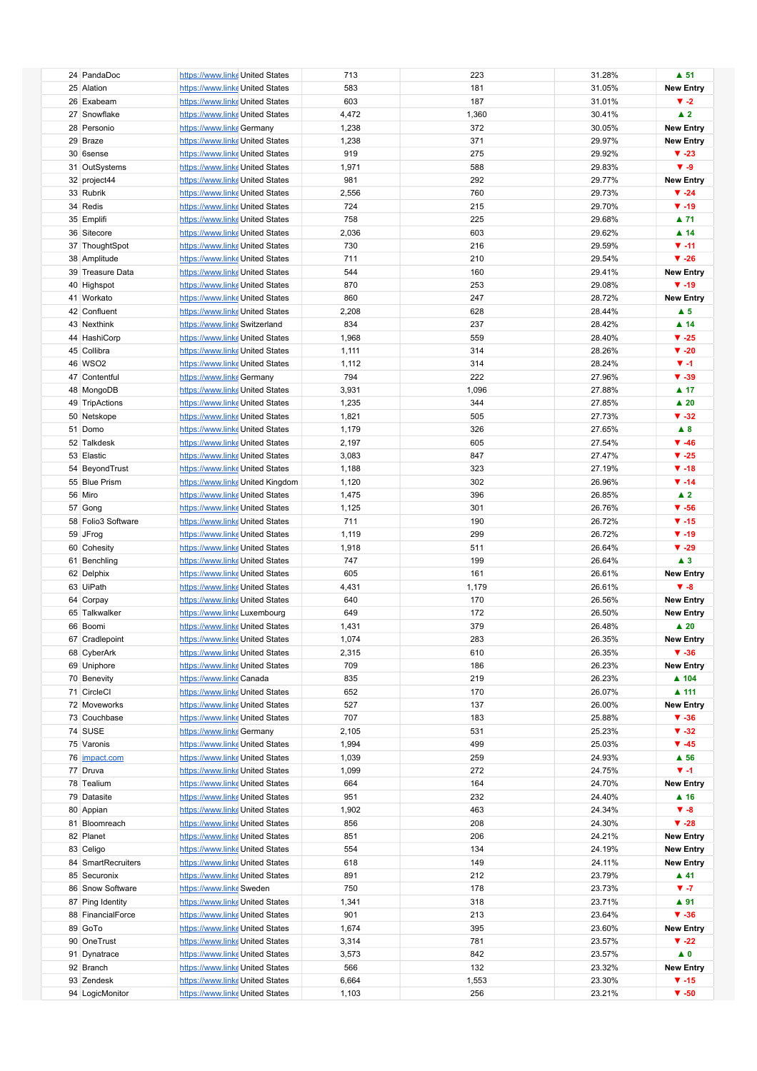|                    |                                  |                |              |                  | $\blacktriangle$ 51        |
|--------------------|----------------------------------|----------------|--------------|------------------|----------------------------|
| 24 PandaDoc        | https://www.linke United States  | 713            | 223          | 31.28%           |                            |
| 25 Alation         | https://www.linke United States  | 583            | 181          | 31.05%           | <b>New Entry</b>           |
| 26 Exabeam         | https://www.linke United States  | 603            | 187          | 31.01%           | $\blacktriangledown -2$    |
|                    |                                  |                |              |                  |                            |
| 27 Snowflake       | https://www.linke United States  | 4,472          | 1,360        | 30.41%           | $\blacktriangle$ 2         |
| 28 Personio        | https://www.linke Germany        | 1,238          | 372          | 30.05%           | <b>New Entry</b>           |
| 29 Braze           | https://www.linke United States  | 1,238          | 371          | 29.97%           | <b>New Entry</b>           |
|                    |                                  |                |              |                  |                            |
| 30 6sense          | https://www.linke United States  | 919            | 275          | 29.92%           | $\blacktriangledown$ -23   |
| 31 OutSystems      | https://www.linke United States  | 1,971          | 588          | 29.83%           | $\Psi - 9$                 |
| 32 project44       | https://www.linke United States  | 981            | 292          | 29.77%           | <b>New Entry</b>           |
|                    |                                  |                |              |                  |                            |
| 33 Rubrik          | https://www.linke United States  | 2,556          | 760          | 29.73%           | $\Psi -24$                 |
| 34 Redis           | https://www.linke United States  | 724            | 215          | 29.70%           | $\Psi - 19$                |
| 35 Emplifi         | https://www.linke United States  | 758            | 225          | 29.68%           | $\blacktriangle$ 71        |
|                    |                                  |                |              |                  |                            |
| 36 Sitecore        | https://www.linke United States  | 2,036          | 603          | 29.62%           | $\blacktriangle$ 14        |
| 37 ThoughtSpot     | https://www.linke United States  | 730            | 216          | 29.59%           | $V - 11$                   |
| 38 Amplitude       | https://www.linke United States  | 711            | 210          | 29.54%           | $\Psi - 26$                |
|                    |                                  |                |              |                  |                            |
| 39 Treasure Data   | https://www.linke United States  | 544            | 160          | 29.41%           | <b>New Entry</b>           |
| 40 Highspot        | https://www.linke United States  | 870            | 253          | 29.08%           | $\Psi - 19$                |
| 41 Workato         | https://www.linke United States  | 860            | 247          | 28.72%           | <b>New Entry</b>           |
|                    |                                  |                |              |                  |                            |
| 42 Confluent       | https://www.linke United States  | 2,208          | 628          | 28.44%           | $\blacktriangle$ 5         |
| 43 Nexthink        | https://www.linke Switzerland    | 834            | 237          | 28.42%           | $\blacktriangle$ 14        |
| 44 HashiCorp       | https://www.linke United States  | 1,968          | 559          | 28.40%           | $V - 25$                   |
|                    |                                  |                |              |                  |                            |
| 45 Collibra        | https://www.linke United States  | 1,111          | 314          | 28.26%           | $\blacktriangledown$ -20   |
| 46 WSO2            | https://www.linke United States  | 1,112          | 314          | 28.24%           | $V - 1$                    |
| 47 Contentful      | https://www.linke Germany        | 794            | 222          | 27.96%           | $\Psi - 39$                |
|                    |                                  |                |              | 27.88%           | $\blacktriangle$ 17        |
| 48 MongoDB         | https://www.linke United States  | 3,931          | 1,096        |                  |                            |
| 49 TripActions     | https://www.linke United States  | 1,235          | 344          | 27.85%           | $\blacktriangle$ 20        |
| 50 Netskope        | https://www.linke United States  | 1,821          | 505          | 27.73%           | $\Psi - 32$                |
| 51 Domo            |                                  |                | 326          |                  | $\blacktriangle$ 8         |
|                    | https://www.linke United States  | 1,179          |              | 27.65%           |                            |
| 52 Talkdesk        | https://www.linke United States  | 2,197          | 605          | 27.54%           | $\Psi - 46$                |
| 53 Elastic         | https://www.linke United States  | 3,083          | 847          | 27.47%           | $V - 25$                   |
|                    |                                  |                |              |                  |                            |
| 54 BeyondTrust     | https://www.linke United States  | 1,188          | 323          | 27.19%           | $\Psi - 18$                |
| 55 Blue Prism      | https://www.linke United Kingdom | 1,120          | 302          | 26.96%           | $\Psi - 14$                |
| 56 Miro            | https://www.linke United States  | 1,475          | 396          | 26.85%           | $\blacktriangle$ 2         |
| 57 Gong            | https://www.linke United States  | 1,125          | 301          | 26.76%           | $V - 56$                   |
|                    |                                  |                |              |                  |                            |
| 58 Folio3 Software | https://www.linke United States  | 711            | 190          | 26.72%           | $\Psi - 15$                |
| 59 JFrog           | https://www.linke United States  | 1,119          | 299          | 26.72%           | $\Psi - 19$                |
|                    |                                  |                | 511          |                  | $\Psi - 29$                |
| 60 Cohesity        | https://www.linke United States  | 1,918          |              | 26.64%           |                            |
| 61 Benchling       | https://www.linke United States  | 747            | 199          | 26.64%           | $\blacktriangle$ 3         |
| 62 Delphix         | https://www.linke United States  | 605            | 161          | 26.61%           | <b>New Entry</b>           |
| 63 UiPath          | https://www.linke United States  | 4,431          | 1,179        | 26.61%           | $\Psi - 8$                 |
|                    |                                  |                |              |                  |                            |
| 64 Corpay          | https://www.linke United States  | 640            | 170          | 26.56%           | <b>New Entry</b>           |
| 65 Talkwalker      | https://www.linke Luxembourg     | 649            | 172          | 26.50%           | <b>New Entry</b>           |
| 66 Boomi           | https://www.linke United States  | 1,431          | 379          | 26.48%           | $\blacktriangle$ 20        |
|                    |                                  |                |              |                  |                            |
| 67 Cradlepoint     | https://www.linke United States  | 1,074          | 283          | 26.35%           | <b>New Entry</b>           |
| 68 CyberArk        | https://www.linke United States  | 2,315          | 610          | 26.35%           | $\Psi - 36$                |
| 69 Uniphore        | https://www.linke United States  | 709            | 186          | 26.23%           | <b>New Entry</b>           |
|                    |                                  |                |              |                  |                            |
| 70 Benevity        | https://www.linke Canada         | 835            | 219          | 26.23%           | ▲ 104                      |
| 71 CircleCI        | https://www.linke United States  | 652            | 170          | 26.07%           | ▲ 111                      |
| 72 Moveworks       | https://www.linke United States  | 527            | 137          | 26.00%           | <b>New Entry</b>           |
| 73 Couchbase       | https://www.linke United States  | 707            | 183          | 25.88%           | $\Psi - 36$                |
|                    |                                  |                |              |                  |                            |
| 74 SUSE            | https://www.linke Germany        | 2,105          | 531          | 25.23%           | $\blacktriangledown$ -32   |
| 75 Varonis         | https://www.linke United States  | 1,994          | 499          | 25.03%           | $\Psi - 45$                |
| 76 impact.com      | https://www.linke United States  | 1,039          | 259          | 24.93%           | $\blacktriangle$ 56        |
|                    |                                  |                |              |                  |                            |
| 77 Druva           | https://www.linke United States  | 1,099          | 272          | 24.75%           | $V - 1$                    |
| 78 Tealium         | https://www.linke United States  | 664            | 164          | 24.70%           | <b>New Entry</b>           |
| 79 Datasite        | https://www.linke United States  | 951            | 232          | 24.40%           | $\blacktriangle$ 16        |
|                    |                                  |                |              |                  |                            |
| 80 Appian          | https://www.linke United States  | 1,902          | 463          | 24.34%           | $\blacktriangledown -8$    |
| 81 Bloomreach      | https://www.linke United States  | 856            | 208          | 24.30%           | $\blacktriangledown$ -28   |
| 82 Planet          | https://www.linke United States  | 851            | 206          | 24.21%           | <b>New Entry</b>           |
|                    |                                  |                |              |                  |                            |
| 83 Celigo          | https://www.linke United States  | 554            | 134          | 24.19%           | <b>New Entry</b>           |
| 84 SmartRecruiters | https://www.linke United States  | 618            | 149          | 24.11%           | <b>New Entry</b>           |
| 85 Securonix       | https://www.linke United States  | 891            | 212          | 23.79%           | ▲ 41                       |
| 86 Snow Software   |                                  | 750            | 178          | 23.73%           | $\blacktriangledown$ -7    |
|                    | https://www.linke Sweden         |                |              |                  |                            |
| 87 Ping Identity   | https://www.linke United States  | 1,341          | 318          | 23.71%           | $\blacktriangle$ 91        |
| 88 FinancialForce  | https://www.linke United States  | 901            | 213          | 23.64%           | $\Psi - 36$                |
| 89 GoTo            |                                  | 1,674          | 395          |                  | <b>New Entry</b>           |
|                    | https://www.linke United States  |                |              | 23.60%           |                            |
| 90 OneTrust        | https://www.linke United States  | 3,314          | 781          | 23.57%           | $\blacktriangledown$ -22   |
| 91 Dynatrace       | https://www.linke United States  | 3,573          | 842          | 23.57%           | $\blacktriangle$ 0         |
|                    |                                  |                |              |                  |                            |
|                    |                                  |                |              |                  |                            |
| 92 Branch          | https://www.linke United States  | 566            | 132          | 23.32%           | <b>New Entry</b>           |
| 93 Zendesk         | https://www.linke United States  | 6,664<br>1,103 | 1,553<br>256 | 23.30%<br>23.21% | $\Psi - 15$<br>$\Psi - 50$ |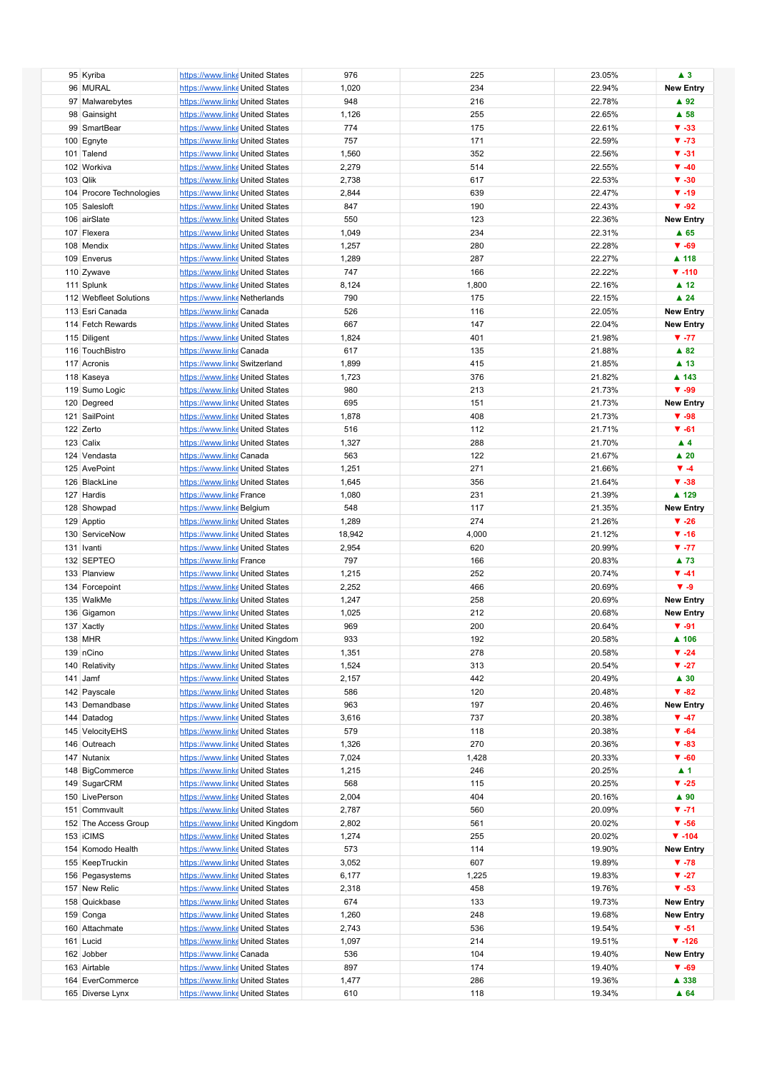|                          |                                 |                                  | 976    | 225   | 23.05% | $\blacktriangle$ 3       |
|--------------------------|---------------------------------|----------------------------------|--------|-------|--------|--------------------------|
| 95 Kyriba                | https://www.linke United States |                                  |        |       |        |                          |
| 96 MURAL                 | https://www.linke United States |                                  | 1,020  | 234   | 22.94% | <b>New Entry</b>         |
| 97 Malwarebytes          | https://www.linke United States |                                  | 948    | 216   | 22.78% | $\blacktriangle$ 92      |
| 98 Gainsight             | https://www.linke United States |                                  | 1,126  | 255   | 22.65% | $\blacktriangle$ 58      |
| 99 SmartBear             | https://www.linke United States |                                  | 774    | 175   | 22.61% | $\Psi - 33$              |
|                          |                                 |                                  |        |       |        |                          |
| 100 Egnyte               | https://www.linke United States |                                  | 757    | 171   | 22.59% | $\Psi - 73$              |
| 101 Talend               | https://www.linke United States |                                  | 1,560  | 352   | 22.56% | $\Psi - 31$              |
| 102 Workiva              | https://www.linke United States |                                  | 2,279  | 514   | 22.55% | $\Psi - 40$              |
| 103 Qlik                 | https://www.linke United States |                                  | 2,738  | 617   | 22.53% | $\Psi - 30$              |
|                          |                                 |                                  |        |       |        |                          |
| 104 Procore Technologies | https://www.linke United States |                                  | 2,844  | 639   | 22.47% | $\Psi - 19$              |
| 105 Salesloft            | https://www.linke United States |                                  | 847    | 190   | 22.43% | $\Psi - 92$              |
| 106 airSlate             | https://www.linke United States |                                  | 550    | 123   | 22.36% | <b>New Entry</b>         |
| 107 Flexera              | https://www.linke United States |                                  | 1,049  | 234   | 22.31% | $\triangle$ 65           |
| 108 Mendix               |                                 |                                  |        |       |        | $\Psi - 69$              |
|                          | https://www.linke United States |                                  | 1,257  | 280   | 22.28% |                          |
| 109 Enverus              | https://www.linke United States |                                  | 1,289  | 287   | 22.27% | ▲ 118                    |
| 110 Zywave               | https://www.linke United States |                                  | 747    | 166   | 22.22% | $\Psi - 110$             |
| 111 Splunk               | https://www.linke United States |                                  | 8,124  | 1,800 | 22.16% | $\blacktriangle$ 12      |
| 112 Webfleet Solutions   | https://www.linke Netherlands   |                                  | 790    | 175   | 22.15% | $\blacktriangle$ 24      |
|                          |                                 |                                  |        |       |        |                          |
| 113 Esri Canada          | https://www.linke Canada        |                                  | 526    | 116   | 22.05% | <b>New Entry</b>         |
| 114 Fetch Rewards        | https://www.linke United States |                                  | 667    | 147   | 22.04% | <b>New Entry</b>         |
| 115 Diligent             | https://www.linke United States |                                  | 1,824  | 401   | 21.98% | $\Psi - 77$              |
| 116 TouchBistro          | https://www.linke Canada        |                                  | 617    | 135   | 21.88% | $\triangle$ 82           |
| 117 Acronis              |                                 |                                  |        | 415   |        | $\blacktriangle$ 13      |
|                          | https://www.linke Switzerland   |                                  | 1,899  |       | 21.85% |                          |
| 118 Kaseya               | https://www.linke United States |                                  | 1,723  | 376   | 21.82% | ▲ 143                    |
| 119 Sumo Logic           | https://www.linke United States |                                  | 980    | 213   | 21.73% | $\Psi - 99$              |
| 120 Degreed              | https://www.linke United States |                                  | 695    | 151   | 21.73% | <b>New Entry</b>         |
| 121 SailPoint            | https://www.linke United States |                                  | 1,878  | 408   | 21.73% | $\Psi - 98$              |
|                          |                                 |                                  |        |       |        |                          |
| 122 Zerto                | https://www.linke United States |                                  | 516    | 112   | 21.71% | $V - 61$                 |
| 123 Calix                | https://www.linke United States |                                  | 1,327  | 288   | 21.70% | $\blacktriangle$ 4       |
| 124 Vendasta             | https://www.linke Canada        |                                  | 563    | 122   | 21.67% | $\blacktriangle$ 20      |
| 125 AvePoint             | https://www.linke United States |                                  | 1,251  | 271   | 21.66% | $\Psi - 4$               |
| 126 BlackLine            |                                 |                                  |        | 356   | 21.64% | $\Psi - 38$              |
|                          | https://www.linke United States |                                  | 1,645  |       |        |                          |
| 127 Hardis               | https://www.linke France        |                                  | 1,080  | 231   | 21.39% | ▲ 129                    |
| 128 Showpad              | https://www.linke Belgium       |                                  | 548    | 117   | 21.35% | <b>New Entry</b>         |
| 129 Apptio               | https://www.linke United States |                                  | 1,289  | 274   | 21.26% | $\Psi - 26$              |
| 130 ServiceNow           | https://www.linke United States |                                  | 18,942 | 4,000 | 21.12% | $\Psi - 16$              |
|                          |                                 |                                  |        |       |        |                          |
| 131 Ivanti               | https://www.linke United States |                                  | 2,954  | 620   | 20.99% | $V - 77$                 |
| 132 SEPTEO               | https://www.linke France        |                                  | 797    | 166   | 20.83% | ▲ 73                     |
| 133 Planview             | https://www.linke United States |                                  | 1,215  | 252   | 20.74% | $\Psi -41$               |
| 134 Forcepoint           | https://www.linke United States |                                  | 2,252  | 466   | 20.69% | $\blacktriangledown -9$  |
|                          |                                 |                                  |        |       |        |                          |
| 135 WalkMe               | https://www.linke United States |                                  | 1,247  | 258   | 20.69% | <b>New Entry</b>         |
| 136 Gigamon              | https://www.linke United States |                                  | 1,025  | 212   | 20.68% | <b>New Entry</b>         |
| 137 Xactly               | https://www.linke United States |                                  | 969    | 200   | 20.64% | $\Psi - 91$              |
| 138 MHR                  |                                 | https://www.linke United Kingdom | 933    | 192   | 20.58% | ▲ 106                    |
| 139 nCino                | https://www.linke United States |                                  | 1,351  | 278   | 20.58% | $\blacktriangledown$ -24 |
|                          |                                 |                                  |        |       |        |                          |
| 140 Relativity           | https://www.linke United States |                                  | 1,524  | 313   | 20.54% | $\Psi -27$               |
| 141 Jamf                 | https://www.linke United States |                                  | 2,157  | 442   | 20.49% | $\blacktriangle$ 30      |
| 142 Payscale             | https://www.linke United States |                                  | 586    | 120   | 20.48% | $\Psi - 82$              |
| 143 Demandbase           | https://www.linke United States |                                  | 963    | 197   | 20.46% | <b>New Entry</b>         |
| 144 Datadog              | https://www.linke United States |                                  | 3,616  | 737   | 20.38% | $\Psi - 47$              |
| 145 VelocityEHS          |                                 |                                  | 579    |       | 20.38% | $\Psi - 64$              |
|                          | https://www.linke United States |                                  |        | 118   |        |                          |
| 146 Outreach             | https://www.linke United States |                                  | 1,326  | 270   | 20.36% | $\Psi - 83$              |
| 147 Nutanix              | https://www.linke United States |                                  | 7,024  | 1,428 | 20.33% | $\Psi - 60$              |
| 148 BigCommerce          | https://www.linke United States |                                  | 1,215  | 246   | 20.25% | $\blacktriangle$ 1       |
| 149 SugarCRM             | https://www.linke United States |                                  | 568    | 115   | 20.25% | $\blacktriangledown$ -25 |
|                          | https://www.linke United States |                                  | 2,004  | 404   |        |                          |
| 150 LivePerson           |                                 |                                  |        |       | 20.16% | $\blacktriangle$ 90      |
| 151 Commvault            | https://www.linke United States |                                  | 2,787  | 560   | 20.09% | $V - 71$                 |
| 152 The Access Group     |                                 | https://www.linke United Kingdom | 2,802  | 561   | 20.02% | $\Psi - 56$              |
| 153 ICIMS                | https://www.linke United States |                                  | 1,274  | 255   | 20.02% | $\Psi - 104$             |
| 154 Komodo Health        | https://www.linke United States |                                  | 573    | 114   | 19.90% | <b>New Entry</b>         |
|                          |                                 |                                  | 3,052  | 607   |        |                          |
| 155 KeepTruckin          | https://www.linke United States |                                  |        |       | 19.89% | $\Psi - 78$              |
| 156 Pegasystems          | https://www.linke United States |                                  | 6,177  | 1,225 | 19.83% | $\Psi -27$               |
| 157 New Relic            | https://www.linke United States |                                  | 2,318  | 458   | 19.76% | $\Psi - 53$              |
| 158 Quickbase            | https://www.linke United States |                                  | 674    | 133   | 19.73% | <b>New Entry</b>         |
| 159 Conga                | https://www.linke United States |                                  | 1,260  | 248   | 19.68% | <b>New Entry</b>         |
|                          |                                 |                                  |        |       |        |                          |
| 160 Attachmate           | https://www.linke United States |                                  | 2,743  | 536   | 19.54% | $V - 51$                 |
| 161 Lucid                | https://www.linke United States |                                  | 1,097  | 214   | 19.51% | $\P$ -126                |
| 162 Jobber               | https://www.linke Canada        |                                  | 536    | 104   | 19.40% | <b>New Entry</b>         |
| 163 Airtable             | https://www.linke United States |                                  | 897    | 174   | 19.40% | $\Psi - 69$              |
| 164 EverCommerce         | https://www.linke United States |                                  | 1,477  | 286   | 19.36% | ▲ 338                    |
|                          |                                 |                                  |        |       |        |                          |
| 165 Diverse Lynx         | https://www.linke United States |                                  | 610    | 118   | 19.34% | A64                      |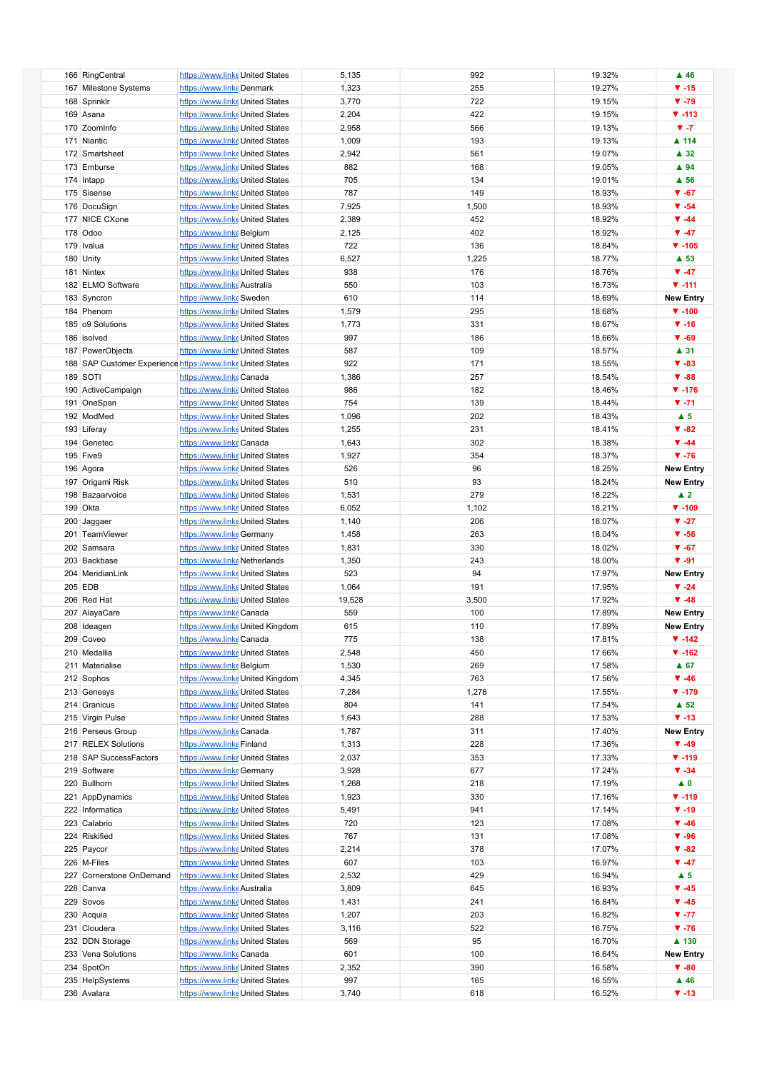| 166 RingCentral                                             | https://www.linke United States |                                  | 5,135  | 992   | 19.32% | $\blacktriangle$ 46      |
|-------------------------------------------------------------|---------------------------------|----------------------------------|--------|-------|--------|--------------------------|
| 167 Milestone Systems                                       | https://www.linke Denmark       |                                  | 1,323  | 255   | 19.27% | $\Psi - 15$              |
| 168 Sprinklr                                                | https://www.linke United States |                                  | 3,770  | 722   | 19.15% | $\Psi - 79$              |
|                                                             |                                 |                                  |        |       |        |                          |
| 169 Asana                                                   | https://www.linke United States |                                  | 2,204  | 422   | 19.15% | $V - 113$                |
| 170 ZoomInfo                                                | https://www.linke United States |                                  | 2,958  | 566   | 19.13% | $V - 7$                  |
|                                                             |                                 |                                  |        |       |        |                          |
| 171 Niantic                                                 | https://www.linke United States |                                  | 1,009  | 193   | 19.13% | ▲ 114                    |
| 172 Smartsheet                                              | https://www.linke United States |                                  | 2,942  | 561   | 19.07% | $\blacktriangle$ 32      |
|                                                             |                                 |                                  |        |       |        |                          |
| 173 Emburse                                                 | https://www.linke United States |                                  | 882    | 168   | 19.05% | ▲ 94                     |
| 174 Intapp                                                  | https://www.linke United States |                                  | 705    | 134   | 19.01% | $\blacktriangle$ 56      |
| 175 Sisense                                                 | https://www.linke United States |                                  | 787    | 149   | 18.93% | $\Psi - 67$              |
|                                                             |                                 |                                  |        |       |        |                          |
| 176 DocuSign                                                | https://www.linke United States |                                  | 7,925  | 1,500 | 18.93% | $\blacktriangledown$ -54 |
| 177 NICE CXone                                              | https://www.linke United States |                                  | 2,389  | 452   | 18.92% | $\Psi - 44$              |
|                                                             |                                 |                                  |        |       |        |                          |
| 178 Odoo                                                    | https://www.linke Belgium       |                                  | 2,125  | 402   | 18.92% | $\Psi - 47$              |
| 179 Ivalua                                                  | https://www.linke United States |                                  | 722    | 136   | 18.84% | $\Psi - 105$             |
|                                                             |                                 |                                  |        |       |        |                          |
| 180 Unity                                                   | https://www.linke United States |                                  | 6,527  | 1,225 | 18.77% | $\blacktriangle$ 53      |
| 181 Nintex                                                  | https://www.linke United States |                                  | 938    | 176   | 18.76% | $\Psi - 47$              |
| 182 ELMO Software                                           | https://www.linke Australia     |                                  | 550    | 103   | 18.73% | $V - 111$                |
|                                                             |                                 |                                  |        |       |        |                          |
| 183 Syncron                                                 | https://www.linke Sweden        |                                  | 610    | 114   | 18.69% | <b>New Entry</b>         |
| 184 Phenom                                                  | https://www.linke United States |                                  | 1,579  | 295   | 18.68% | $\Psi - 100$             |
|                                                             |                                 |                                  |        |       |        |                          |
| 185 o9 Solutions                                            | https://www.linke United States |                                  | 1,773  | 331   | 18.67% | $\Psi - 16$              |
| 186 isolved                                                 | https://www.linke United States |                                  | 997    | 186   | 18.66% | $\Psi - 69$              |
|                                                             |                                 |                                  |        |       |        |                          |
| 187 PowerObjects                                            | https://www.linke United States |                                  | 587    | 109   | 18.57% | $\blacktriangle$ 31      |
| 188 SAP Customer Experience https://www.linke United States |                                 |                                  | 922    | 171   | 18.55% | $\Psi - 83$              |
| 189 SOTI                                                    | https://www.linkeCanada         |                                  |        | 257   | 18.54% | $\Psi - 88$              |
|                                                             |                                 |                                  | 1,386  |       |        |                          |
| 190 ActiveCampaign                                          | https://www.linke United States |                                  | 986    | 182   | 18.46% | $\Psi - 176$             |
| 191 OneSpan                                                 | https://www.linke United States |                                  | 754    | 139   | 18.44% | $\Psi - 71$              |
|                                                             |                                 |                                  |        |       |        |                          |
| 192 ModMed                                                  | https://www.linke United States |                                  | 1,096  | 202   | 18.43% | $\blacktriangle$ 5       |
| 193 Liferay                                                 | https://www.linke United States |                                  | 1,255  | 231   | 18.41% | $\Psi - 82$              |
|                                                             |                                 |                                  |        |       |        |                          |
| 194 Genetec                                                 | https://www.linke Canada        |                                  | 1,643  | 302   | 18.38% | $\P$ -44                 |
| <b>195 Five9</b>                                            | https://www.linke United States |                                  | 1,927  | 354   | 18.37% | $\Psi - 76$              |
|                                                             |                                 |                                  |        |       |        |                          |
| 196 Agora                                                   | https://www.linke United States |                                  | 526    | 96    | 18.25% | <b>New Entry</b>         |
| 197 Origami Risk                                            | https://www.linke United States |                                  | 510    | 93    | 18.24% | <b>New Entry</b>         |
| 198 Bazaarvoice                                             | https://www.linke United States |                                  | 1,531  | 279   | 18.22% | $\blacktriangle$ 2       |
|                                                             |                                 |                                  |        |       |        |                          |
| 199 Okta                                                    | https://www.linke United States |                                  | 6,052  | 1,102 | 18.21% | $\Psi - 109$             |
| 200 Jaggaer                                                 | https://www.linke United States |                                  | 1,140  | 206   | 18.07% | $V - 27$                 |
|                                                             |                                 |                                  |        |       |        |                          |
| 201 TeamViewer                                              | https://www.linke Germany       |                                  | 1,458  | 263   | 18.04% | $\Psi - 56$              |
| 202 Samsara                                                 | https://www.linke United States |                                  | 1,831  | 330   | 18.02% | $\Psi - 67$              |
|                                                             |                                 |                                  |        |       |        | $\Psi - 91$              |
| 203 Backbase                                                | https://www.linke Netherlands   |                                  | 1,350  | 243   | 18.00% |                          |
| 204 MeridianLink                                            | https://www.linke United States |                                  | 523    | 94    | 17.97% | <b>New Entry</b>         |
| 205 EDB                                                     | https://www.linke United States |                                  | 1,064  | 191   | 17.95% | $\blacktriangledown$ -24 |
|                                                             |                                 |                                  |        |       |        |                          |
| 206 Red Hat                                                 | https://www.linke United States |                                  | 19,528 | 3,500 | 17.92% | $\Psi - 48$              |
| 207 AlayaCare                                               | https://www.linke Canada        |                                  | 559    | 100   | 17.89% | <b>New Entry</b>         |
|                                                             |                                 |                                  |        |       |        |                          |
| 208 Ideagen                                                 |                                 | https://www.linke United Kingdom | 615    | 110   | 17.89% | <b>New Entry</b>         |
| 209 Coveo                                                   | https://www.linkecanada         |                                  | 775    | 138   | 17.81% | $\Psi - 142$             |
|                                                             |                                 |                                  |        |       |        |                          |
| 210 Medallia                                                | https://www.linke United States |                                  | 2,548  | 450   | 17.66% | $\P$ -162                |
| 211 Materialise                                             | https://www.linke Belgium       |                                  | 1,530  | 269   | 17.58% | $A$ 67                   |
| 212 Sophos                                                  |                                 | https://www.linke United Kingdom | 4,345  | 763   | 17.56% | $\Psi - 46$              |
|                                                             |                                 |                                  |        |       |        |                          |
| 213 Genesys                                                 | https://www.linke United States |                                  | 7,284  | 1,278 | 17.55% | $\Psi - 179$             |
| 214 Granicus                                                | https://www.linke United States |                                  | 804    | 141   | 17.54% | $\blacktriangle$ 52      |
|                                                             |                                 |                                  |        |       |        |                          |
| 215 Virgin Pulse                                            | https://www.linke United States |                                  | 1,643  | 288   | 17.53% | $\Psi - 13$              |
| 216 Perseus Group                                           | https://www.linke Canada        |                                  | 1,787  | 311   | 17.40% | <b>New Entry</b>         |
| 217 RELEX Solutions                                         | https://www.linke Finland       |                                  | 1,313  | 228   | 17.36% | $\Psi - 49$              |
|                                                             |                                 |                                  |        |       |        |                          |
| 218 SAP SuccessFactors                                      | https://www.linke United States |                                  | 2,037  | 353   | 17.33% | $\Psi - 119$             |
| 219 Software                                                | https://www.linke Germany       |                                  | 3,928  | 677   | 17.24% | $\Psi - 34$              |
|                                                             |                                 |                                  |        |       |        |                          |
| 220 Bullhorn                                                | https://www.linke United States |                                  | 1,268  | 218   | 17.19% | $\blacktriangle$ 0       |
| 221 AppDynamics                                             | https://www.linke United States |                                  | 1,923  | 330   | 17.16% | $V - 119$                |
|                                                             |                                 |                                  |        |       |        | $\Psi - 19$              |
| 222 Informatica                                             | https://www.linke United States |                                  | 5,491  | 941   | 17.14% |                          |
| 223 Calabrio                                                | https://www.linke United States |                                  | 720    | 123   | 17.08% | $\Psi - 46$              |
| 224 Riskified                                               | https://www.linke United States |                                  | 767    | 131   | 17.08% | $\Psi - 96$              |
|                                                             |                                 |                                  |        |       |        |                          |
| 225 Paycor                                                  | https://www.linke United States |                                  | 2,214  | 378   | 17.07% | $\Psi - 82$              |
| 226 M-Files                                                 | https://www.linke United States |                                  | 607    | 103   | 16.97% | $\Psi - 47$              |
|                                                             |                                 |                                  |        | 429   |        |                          |
| 227 Cornerstone OnDemand                                    | https://www.linke United States |                                  | 2,532  |       | 16.94% | $\blacktriangle$ 5       |
| 228 Canva                                                   | https://www.linke Australia     |                                  | 3,809  | 645   | 16.93% | $\Psi - 45$              |
| 229 Sovos                                                   | https://www.linke United States |                                  | 1,431  | 241   | 16.84% | $\Psi -45$               |
|                                                             |                                 |                                  |        |       |        |                          |
| 230 Acquia                                                  | https://www.linke United States |                                  | 1,207  | 203   | 16.82% | $\blacktriangledown$ -77 |
| 231 Cloudera                                                | https://www.linke United States |                                  | 3,116  | 522   | 16.75% | $\Psi - 76$              |
|                                                             |                                 |                                  |        |       |        |                          |
| 232 DDN Storage                                             | https://www.linke United States |                                  | 569    | 95    | 16.70% | ▲ 130                    |
| 233 Vena Solutions                                          | https://www.linke Canada        |                                  | 601    | 100   | 16.64% | <b>New Entry</b>         |
|                                                             |                                 |                                  |        |       |        |                          |
| 234 SpotOn                                                  | https://www.linke United States |                                  | 2,352  | 390   | 16.58% | $\Psi - 80$              |
| 235 HelpSystems                                             | https://www.linke United States |                                  | 997    | 165   | 16.55% | $\blacktriangle$ 46      |
| 236 Avalara                                                 | https://www.linke United States |                                  | 3,740  | 618   | 16.52% | $\Psi - 13$              |
|                                                             |                                 |                                  |        |       |        |                          |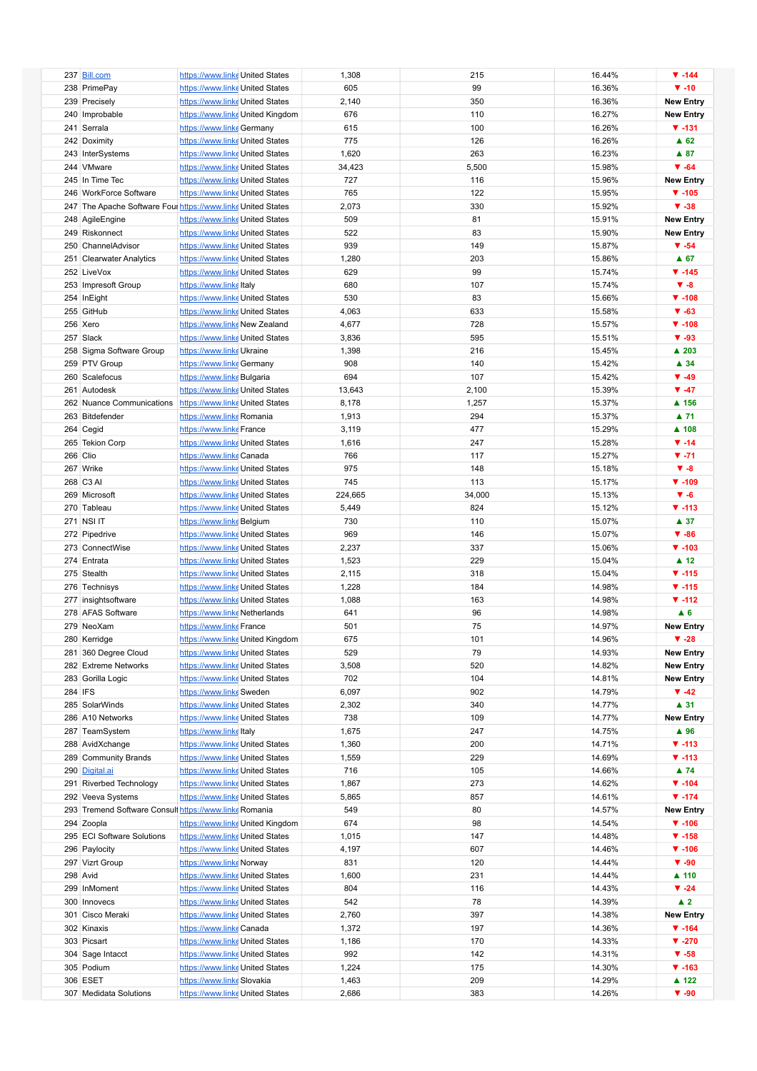|          | 237 Bill.com                                           | https://www.linke United States  |                                  | 1,308   | 215    | 16.44% | $\P$ -144                |
|----------|--------------------------------------------------------|----------------------------------|----------------------------------|---------|--------|--------|--------------------------|
|          | 238 PrimePay                                           | https://www.linke United States  |                                  | 605     | 99     | 16.36% | $\Psi - 10$              |
|          | 239 Precisely                                          | https://www.linke United States  |                                  | 2,140   | 350    | 16.36% | <b>New Entry</b>         |
|          |                                                        |                                  |                                  |         |        |        |                          |
|          | 240 Improbable                                         |                                  | https://www.linke United Kingdom | 676     | 110    | 16.27% | <b>New Entry</b>         |
|          | 241 Serrala                                            | https://www.linke Germany        |                                  | 615     | 100    | 16.26% | $V - 131$                |
|          |                                                        |                                  |                                  | 775     | 126    | 16.26% | $\triangle$ 62           |
|          | 242 Doximity                                           | https://www.linke United States  |                                  |         |        |        |                          |
|          | 243 InterSystems                                       | https://www.linke United States  |                                  | 1,620   | 263    | 16.23% | $\triangle$ 87           |
|          | 244 VMware                                             | https://www.linke United States  |                                  | 34,423  | 5,500  | 15.98% | $\Psi - 64$              |
|          |                                                        |                                  |                                  |         |        |        |                          |
|          | 245 In Time Tec                                        | https://www.linke United States  |                                  | 727     | 116    | 15.96% | <b>New Entry</b>         |
|          | 246 WorkForce Software                                 | https://www.linke United States  |                                  | 765     | 122    | 15.95% | $\Psi - 105$             |
|          |                                                        |                                  |                                  |         |        |        |                          |
|          | 247 The Apache Software Fournalty States United States |                                  |                                  | 2,073   | 330    | 15.92% | $\Psi - 38$              |
|          | 248 AgileEngine                                        | https://www.linke United States  |                                  | 509     | 81     | 15.91% | <b>New Entry</b>         |
|          | 249 Riskonnect                                         | https://www.linke United States  |                                  | 522     | 83     | 15.90% | <b>New Entry</b>         |
|          |                                                        |                                  |                                  |         |        |        |                          |
|          | 250 ChannelAdvisor                                     | https://www.linke United States  |                                  | 939     | 149    | 15.87% | $\Psi - 54$              |
|          | 251 Clearwater Analytics                               | https://www.linke United States  |                                  | 1,280   | 203    | 15.86% | $A$ 67                   |
|          |                                                        |                                  |                                  |         |        |        |                          |
|          | 252 LiveVox                                            | https://www.linke United States  |                                  | 629     | 99     | 15.74% | $\P$ -145                |
|          | 253 Impresoft Group                                    | https://www.linkeltaly           |                                  | 680     | 107    | 15.74% | $V - 8$                  |
|          |                                                        |                                  |                                  | 530     | 83     | 15.66% | $\Psi - 108$             |
|          | 254 InEight                                            | https://www.linke United States  |                                  |         |        |        |                          |
|          | 255 GitHub                                             | https://www.linke United States  |                                  | 4,063   | 633    | 15.58% | $\Psi - 63$              |
|          | 256 Xero                                               | https://www.linke New Zealand    |                                  | 4,677   | 728    | 15.57% | $\Psi - 108$             |
|          |                                                        |                                  |                                  |         |        |        |                          |
|          | 257 Slack                                              | https://www.linke United States  |                                  | 3,836   | 595    | 15.51% | $\Psi - 93$              |
|          | 258 Sigma Software Group                               | https://www.linke Ukraine        |                                  | 1,398   | 216    | 15.45% | ▲ 203                    |
|          | 259 PTV Group                                          | https://www.linke Germany        |                                  | 908     | 140    | 15.42% | $\blacktriangle$ 34      |
|          |                                                        |                                  |                                  |         |        |        |                          |
|          | 260 Scalefocus                                         | https://www.linke Bulgaria       |                                  | 694     | 107    | 15.42% | $\Psi - 49$              |
|          | 261 Autodesk                                           | https://www.linke United States  |                                  | 13,643  | 2,100  | 15.39% | $\Psi - 47$              |
|          |                                                        |                                  |                                  |         |        |        |                          |
|          | 262 Nuance Communications                              | https://www.linke United States  |                                  | 8,178   | 1,257  | 15.37% | ▲ 156                    |
|          | 263 Bitdefender                                        | https://www.linke Romania        |                                  | 1,913   | 294    | 15.37% | ▲ 71                     |
|          |                                                        |                                  |                                  |         |        |        |                          |
|          | 264 Cegid                                              | https://www.linke France         |                                  | 3,119   | 477    | 15.29% | ▲ 108                    |
|          | 265 Tekion Corp                                        | https://www.linke United States  |                                  | 1,616   | 247    | 15.28% | $\P$ -14                 |
| 266 Clio |                                                        | https://www.linke Canada         |                                  | 766     | 117    | 15.27% | $\Psi - 71$              |
|          |                                                        |                                  |                                  |         |        |        |                          |
|          | 267 Wrike                                              | https://www.linke United States  |                                  | 975     | 148    | 15.18% | $V - 8$                  |
|          | 268 C3 AI                                              | https://www.linke United States  |                                  | 745     | 113    | 15.17% | $\Psi - 109$             |
|          |                                                        |                                  |                                  |         |        |        |                          |
|          | 269 Microsoft                                          | https://www.linke United States  |                                  | 224,665 | 34,000 | 15.13% | $V - 6$                  |
|          | 270 Tableau                                            | https://www.linke United States  |                                  | 5,449   | 824    | 15.12% | $\Psi - 113$             |
|          | 271 NSI IT                                             | https://www.linke Belgium        |                                  | 730     | 110    | 15.07% | $\blacktriangle$ 37      |
|          |                                                        |                                  |                                  |         |        |        |                          |
|          | 272 Pipedrive                                          | https://www.linke United States  |                                  | 969     | 146    | 15.07% | $\Psi - 86$              |
|          | 273 ConnectWise                                        | https://www.linke United States  |                                  | 2,237   | 337    | 15.06% | $\Psi - 103$             |
|          |                                                        |                                  |                                  |         |        |        |                          |
|          | 274 Entrata                                            | https://www.linke United States  |                                  | 1,523   | 229    | 15.04% | $\blacktriangle$ 12      |
|          | 275 Stealth                                            | https://www.linke United States  |                                  | 2,115   | 318    | 15.04% | $\Psi - 115$             |
|          |                                                        |                                  |                                  |         |        |        | $V - 115$                |
|          | 276 Technisys                                          | https://www.linke United States  |                                  | 1,228   | 184    | 14.98% |                          |
|          | 277 insightsoftware                                    | https://www.linke United States  |                                  | 1,088   | 163    | 14.98% | $\Psi - 112$             |
|          | 278 AFAS Software                                      | https://www.linke Netherlands    |                                  | 641     | 96     | 14.98% | $\blacktriangle$ 6       |
|          |                                                        |                                  |                                  |         |        |        |                          |
|          | 279 NeoXam                                             | https://www.linke France         |                                  | 501     | 75     | 14.97% | <b>New Entry</b>         |
|          | 280 Kerridge                                           | https://www.linke United Kingdom |                                  | 675     | 101    | 14.96% | $\Psi - 28$              |
|          |                                                        |                                  |                                  |         |        |        |                          |
|          | 281 360 Degree Cloud                                   | https://www.linke United States  |                                  | 529     | 79     | 14.93% | <b>New Entry</b>         |
|          | 282 Extreme Networks                                   | https://www.linke United States  |                                  | 3,508   | 520    | 14.82% | <b>New Entry</b>         |
|          | 283 Gorilla Logic                                      | https://www.linke United States  |                                  | 702     | 104    | 14.81% | <b>New Entry</b>         |
|          |                                                        |                                  |                                  |         |        |        |                          |
| 284 IFS  |                                                        | https://www.linke Sweden         |                                  | 6,097   | 902    | 14.79% | $\Psi -42$               |
|          | 285 SolarWinds                                         | https://www.linke United States  |                                  | 2,302   | 340    | 14.77% | $\blacktriangle$ 31      |
|          |                                                        |                                  |                                  |         |        |        |                          |
|          | 286 A10 Networks                                       | https://www.linke United States  |                                  | 738     | 109    | 14.77% | <b>New Entry</b>         |
|          | 287 TeamSystem                                         | https://www.linkeltaly           |                                  | 1,675   | 247    | 14.75% | ▲ 96                     |
|          | 288 AvidXchange                                        | https://www.linke United States  |                                  | 1,360   | 200    | 14.71% | $\P$ -113                |
|          |                                                        |                                  |                                  |         |        |        |                          |
|          | 289 Community Brands                                   | https://www.linke United States  |                                  | 1,559   | 229    | 14.69% | $\Psi - 113$             |
|          | 290 Digital.ai                                         | https://www.linke United States  |                                  | 716     | 105    | 14.66% | ▲ 74                     |
|          | 291 Riverbed Technology                                | https://www.linke United States  |                                  | 1,867   | 273    | 14.62% | $\Psi - 104$             |
|          |                                                        |                                  |                                  |         |        |        |                          |
|          | 292 Veeva Systems                                      | https://www.linke United States  |                                  | 5,865   | 857    | 14.61% | $\Psi - 174$             |
|          | 293 Tremend Software Consult https://www.linke Romania |                                  |                                  | 549     | 80     | 14.57% | <b>New Entry</b>         |
|          |                                                        |                                  |                                  |         |        |        |                          |
|          | 294 Zoopla                                             | https://www.linke United Kingdom |                                  | 674     | 98     | 14.54% | $\Psi - 106$             |
|          | 295 ECI Software Solutions                             | https://www.linke United States  |                                  | 1,015   | 147    | 14.48% | $\P$ -158                |
|          | 296 Paylocity                                          | https://www.linke United States  |                                  | 4,197   | 607    | 14.46% | $\Psi - 106$             |
|          |                                                        |                                  |                                  |         |        |        |                          |
|          | 297 Vizrt Group                                        | https://www.linke Norway         |                                  | 831     | 120    | 14.44% | $\Psi - 90$              |
|          | 298 Avid                                               | https://www.linke United States  |                                  | 1,600   | 231    | 14.44% | $\blacktriangle$ 110     |
|          |                                                        |                                  |                                  |         |        |        |                          |
|          | 299 InMoment                                           | https://www.linke United States  |                                  | 804     | 116    | 14.43% | $\blacktriangledown$ -24 |
|          | 300 Innovecs                                           | https://www.linke United States  |                                  | 542     | 78     | 14.39% | $\blacktriangle$ 2       |
|          | 301 Cisco Meraki                                       |                                  |                                  |         | 397    | 14.38% | <b>New Entry</b>         |
|          |                                                        | https://www.linke United States  |                                  | 2,760   |        |        |                          |
|          | 302 Kinaxis                                            | https://www.linke Canada         |                                  | 1,372   | 197    | 14.36% | $\P$ -164                |
|          | 303 Picsart                                            | https://www.linke United States  |                                  | 1,186   | 170    | 14.33% | $\Psi - 270$             |
|          |                                                        |                                  |                                  |         |        |        |                          |
|          | 304 Sage Intacct                                       | https://www.linke United States  |                                  | 992     | 142    | 14.31% | $\Psi - 58$              |
|          | 305 Podium                                             | https://www.linke United States  |                                  | 1,224   | 175    | 14.30% | $\Psi - 163$             |
|          |                                                        |                                  |                                  |         |        |        |                          |
|          | 306 ESET                                               | https://www.linke Slovakia       |                                  | 1,463   | 209    | 14.29% | ▲ 122                    |
|          | 307 Medidata Solutions                                 | https://www.linke United States  |                                  | 2,686   | 383    | 14.26% | $\Psi - 90$              |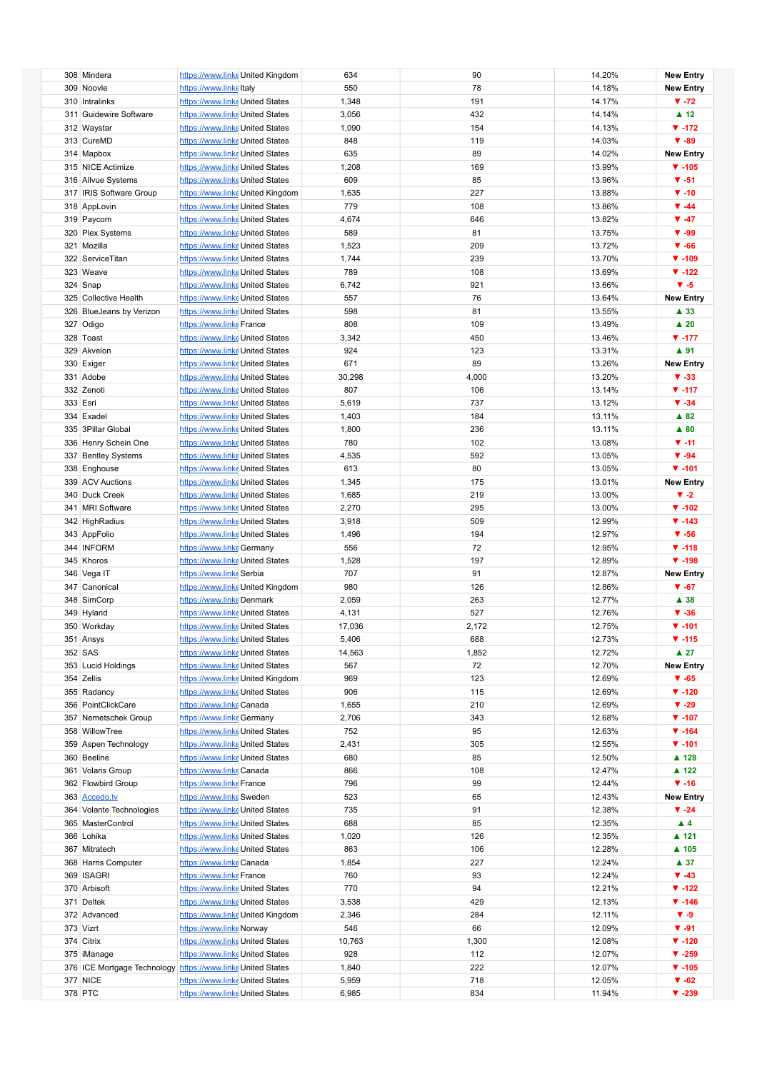| 308 Mindera                                                 | https://www.linke United Kingdom |                                  | 634    | 90    | 14.20% | <b>New Entry</b>    |
|-------------------------------------------------------------|----------------------------------|----------------------------------|--------|-------|--------|---------------------|
|                                                             |                                  |                                  |        |       |        |                     |
| 309 Noovle                                                  | https://www.linkeltaly           |                                  | 550    | 78    | 14.18% | <b>New Entry</b>    |
| 310 Intralinks                                              | https://www.linke United States  |                                  | 1,348  | 191   | 14.17% | $\Psi - 72$         |
| 311 Guidewire Software                                      | https://www.linke United States  |                                  | 3,056  | 432   | 14.14% | $\blacktriangle$ 12 |
| 312 Waystar                                                 | https://www.linke United States  |                                  | 1,090  | 154   | 14.13% | $\P$ -172           |
|                                                             |                                  |                                  |        |       |        |                     |
| 313 CureMD                                                  | https://www.linke United States  |                                  | 848    | 119   | 14.03% | $\Psi - 89$         |
| 314 Mapbox                                                  | https://www.linke United States  |                                  | 635    | 89    | 14.02% | <b>New Entry</b>    |
| 315 NICE Actimize                                           | https://www.linke United States  |                                  | 1,208  | 169   | 13.99% | $\Psi - 105$        |
| 316 Allvue Systems                                          | https://www.linke United States  |                                  | 609    | 85    | 13.96% | $\Psi - 51$         |
| 317 IRIS Software Group                                     |                                  |                                  |        | 227   |        | $\Psi - 10$         |
|                                                             |                                  | https://www.linke United Kingdom | 1,635  |       | 13.88% |                     |
| 318 AppLovin                                                | https://www.linke United States  |                                  | 779    | 108   | 13.86% | $\P$ -44            |
| 319 Paycom                                                  | https://www.linke United States  |                                  | 4,674  | 646   | 13.82% | $\Psi - 47$         |
| 320 Plex Systems                                            | https://www.linke United States  |                                  | 589    | 81    | 13.75% | $\Psi - 99$         |
| 321 Mozilla                                                 | https://www.linke United States  |                                  | 1,523  | 209   | 13.72% | $\Psi - 66$         |
|                                                             |                                  |                                  |        |       |        |                     |
| 322 ServiceTitan                                            | https://www.linke United States  |                                  | 1,744  | 239   | 13.70% | $\Psi - 109$        |
| 323 Weave                                                   | https://www.linke United States  |                                  | 789    | 108   | 13.69% | $\P$ -122           |
| 324 Snap                                                    | https://www.linke United States  |                                  | 6,742  | 921   | 13.66% | $V - 5$             |
| 325 Collective Health                                       | https://www.linke United States  |                                  | 557    | 76    | 13.64% | <b>New Entry</b>    |
| 326 BlueJeans by Verizon                                    |                                  |                                  | 598    | 81    | 13.55% | ▲ 33                |
|                                                             | https://www.linke United States  |                                  |        |       |        |                     |
| 327 Odigo                                                   | https://www.linke France         |                                  | 808    | 109   | 13.49% | $\blacktriangle$ 20 |
| 328 Toast                                                   | https://www.linke United States  |                                  | 3,342  | 450   | 13.46% | $\Psi - 177$        |
| 329 Akvelon                                                 | https://www.linke United States  |                                  | 924    | 123   | 13.31% | ▲ 91                |
| 330 Exiger                                                  | https://www.linke United States  |                                  | 671    | 89    | 13.26% | <b>New Entry</b>    |
|                                                             |                                  |                                  |        |       |        |                     |
| 331 Adobe                                                   | https://www.linke United States  |                                  | 30,298 | 4,000 | 13.20% | $\Psi - 33$         |
| 332 Zenoti                                                  | https://www.linke United States  |                                  | 807    | 106   | 13.14% | $\Psi - 117$        |
| 333 Esri                                                    | https://www.linke United States  |                                  | 5,619  | 737   | 13.12% | $\Psi - 34$         |
| 334 Exadel                                                  | https://www.linke United States  |                                  | 1,403  | 184   | 13.11% | $\triangle$ 82      |
| 335 3Pillar Global                                          | https://www.linke United States  |                                  | 1,800  | 236   | 13.11% | $\blacktriangle$ 80 |
|                                                             |                                  |                                  |        |       |        |                     |
| 336 Henry Schein One                                        | https://www.linke United States  |                                  | 780    | 102   | 13.08% | $V - 11$            |
| 337 Bentley Systems                                         | https://www.linke United States  |                                  | 4,535  | 592   | 13.05% | $\Psi - 94$         |
| 338 Enghouse                                                | https://www.linke United States  |                                  | 613    | 80    | 13.05% | $\Psi - 101$        |
| 339 ACV Auctions                                            | https://www.linke United States  |                                  | 1,345  | 175   | 13.01% | <b>New Entry</b>    |
| 340 Duck Creek                                              |                                  |                                  |        | 219   | 13.00% | $V - 2$             |
|                                                             | https://www.linke United States  |                                  | 1,685  |       |        |                     |
| 341 MRI Software                                            | https://www.linke United States  |                                  | 2,270  | 295   | 13.00% | $\P$ -102           |
| 342 HighRadius                                              | https://www.linke United States  |                                  | 3,918  | 509   | 12.99% | $\Psi - 143$        |
| 343 AppFolio                                                | https://www.linke United States  |                                  | 1,496  | 194   | 12.97% | $\Psi - 56$         |
| 344 INFORM                                                  | https://www.linke Germany        |                                  | 556    | 72    | 12.95% | $\Psi - 118$        |
|                                                             |                                  |                                  |        |       |        | $\Psi - 198$        |
| 345 Khoros                                                  | https://www.linke United States  |                                  | 1,528  | 197   | 12.89% |                     |
| 346 Vega IT                                                 | https://www.linke Serbia         |                                  | 707    | 91    | 12.87% | <b>New Entry</b>    |
| 347 Canonical                                               |                                  | https://www.linke United Kingdom | 980    | 126   | 12.86% | $\Psi - 67$         |
| 348 SimCorp                                                 | https://www.linkeDenmark         |                                  | 2,059  | 263   | 12.77% | $\blacktriangle$ 38 |
| 349 Hyland                                                  | https://www.linke United States  |                                  | 4,131  | 527   | 12.76% | $\Psi - 36$         |
|                                                             |                                  |                                  |        |       |        |                     |
| 350 Workday                                                 | https://www.linke United States  |                                  | 17,036 | 2,172 | 12.75% | $\Psi - 101$        |
| 351 Ansys                                                   | https://www.linke United States  |                                  | 5,406  | 688   | 12.73% | ▼ -115              |
| 352 SAS                                                     | https://www.linke United States  |                                  | 14,563 | 1,852 | 12.72% | $\blacktriangle$ 27 |
| 353 Lucid Holdings                                          | https://www.linke United States  |                                  | 567    | 72    | 12.70% | <b>New Entry</b>    |
| 354 Zellis                                                  |                                  | https://www.linke United Kingdom | 969    | 123   | 12.69% | $\Psi - 65$         |
|                                                             |                                  |                                  |        |       |        |                     |
| 355 Radancy                                                 | https://www.linke United States  |                                  | 906    | 115   | 12.69% | $\P$ -120           |
| 356 PointClickCare                                          | https://www.linkeCanada          |                                  | 1,655  | 210   | 12.69% | $\Psi - 29$         |
| 357 Nemetschek Group                                        | https://www.linke Germany        |                                  | 2,706  | 343   | 12.68% | $\Psi - 107$        |
| 358 WillowTree                                              | https://www.linke United States  |                                  | 752    | 95    | 12.63% | $\Psi - 164$        |
| 359 Aspen Technology                                        | https://www.linke United States  |                                  | 2,431  | 305   | 12.55% | $\Psi - 101$        |
|                                                             |                                  |                                  |        |       |        |                     |
| 360 Beeline                                                 | https://www.linke United States  |                                  | 680    | 85    | 12.50% | ▲ 128               |
| 361 Volaris Group                                           | https://www.linke Canada         |                                  | 866    | 108   | 12.47% | ▲ 122               |
| 362 Flowbird Group                                          | https://www.linke France         |                                  | 796    | 99    | 12.44% | $\Psi - 16$         |
| 363 Accedo.tv                                               | https://www.linke Sweden         |                                  | 523    | 65    | 12.43% | <b>New Entry</b>    |
| 364 Volante Technologies                                    | https://www.linke United States  |                                  | 735    | 91    | 12.38% | $\Psi -24$          |
|                                                             |                                  |                                  |        |       |        | $\blacktriangle$ 4  |
| 365 MasterControl                                           | https://www.linke United States  |                                  | 688    | 85    | 12.35% |                     |
| 366 Lohika                                                  | https://www.linke United States  |                                  | 1,020  | 126   | 12.35% | ▲ 121               |
| 367 Mitratech                                               | https://www.linke United States  |                                  | 863    | 106   | 12.28% | ▲ 105               |
| 368 Harris Computer                                         | https://www.linke Canada         |                                  | 1,854  | 227   | 12.24% | $\blacktriangle$ 37 |
| 369 ISAGRI                                                  | https://www.linke France         |                                  | 760    | 93    | 12.24% | $\Psi - 43$         |
|                                                             |                                  |                                  |        |       |        |                     |
| 370 Arbisoft                                                | https://www.linke United States  |                                  | 770    | 94    | 12.21% | $\P$ -122           |
| 371 Deltek                                                  | https://www.linke United States  |                                  | 3,538  | 429   | 12.13% | $\Psi - 146$        |
| 372 Advanced                                                |                                  | https://www.linke United Kingdom | 2,346  | 284   | 12.11% | $V - 9$             |
| 373 Vizrt                                                   | https://www.linke Norway         |                                  | 546    | 66    | 12.09% | $\Psi - 91$         |
| 374 Citrix                                                  | https://www.linke United States  |                                  | 10,763 | 1,300 | 12.08% | $\Psi - 120$        |
|                                                             |                                  |                                  |        |       |        |                     |
| 375 iManage                                                 | https://www.linke United States  |                                  | 928    | 112   | 12.07% | $V - 259$           |
| 376 ICE Mortgage Technology https://www.linke United States |                                  |                                  | 1,840  | 222   | 12.07% | $\Psi - 105$        |
| 377 NICE                                                    | https://www.linke United States  |                                  | 5,959  | 718   | 12.05% | $\Psi - 62$         |
| 378 PTC                                                     | https://www.linke United States  |                                  | 6,985  | 834   | 11.94% | $\Psi - 239$        |
|                                                             |                                  |                                  |        |       |        |                     |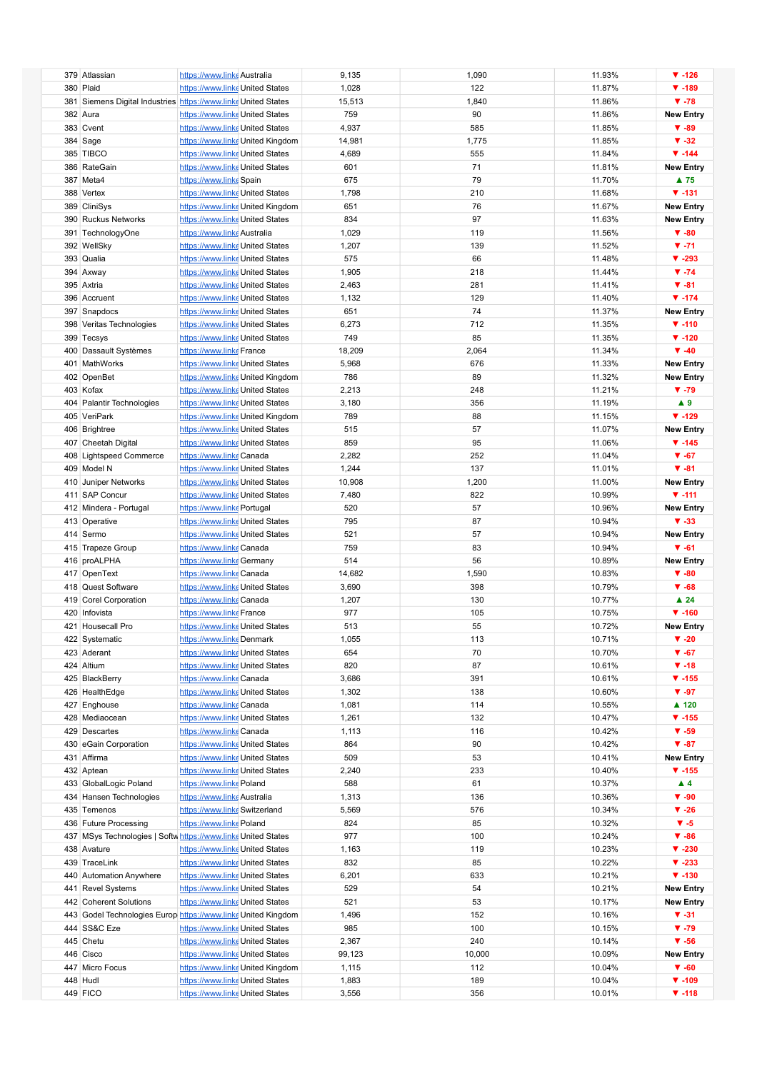| 379 Atlassian                                                  | https://www.linke Australia     |                                  | 9,135  | 1,090  | 11.93% | $\P$ -126                |
|----------------------------------------------------------------|---------------------------------|----------------------------------|--------|--------|--------|--------------------------|
| 380 Plaid                                                      |                                 |                                  |        |        |        |                          |
|                                                                | https://www.linke United States |                                  | 1,028  | 122    | 11.87% | $\P$ -189                |
| 381 Siemens Digital Industries https://www.linke United States |                                 |                                  | 15,513 | 1,840  | 11.86% | $\Psi - 78$              |
| 382 Aura                                                       | https://www.linke United States |                                  | 759    | 90     | 11.86% | <b>New Entry</b>         |
| 383 Cvent                                                      | https://www.linke United States |                                  | 4,937  | 585    | 11.85% | $\Psi - 89$              |
| 384 Sage                                                       |                                 | https://www.linke United Kingdom | 14,981 | 1,775  | 11.85% | $\Psi - 32$              |
| 385 TIBCO                                                      | https://www.linke United States |                                  | 4,689  | 555    | 11.84% | $\Psi - 144$             |
|                                                                |                                 |                                  |        |        |        |                          |
| 386 RateGain                                                   | https://www.linke United States |                                  | 601    | 71     | 11.81% | <b>New Entry</b>         |
| 387 Meta4                                                      | https://www.linke Spain         |                                  | 675    | 79     | 11.70% | $\blacktriangle$ 75      |
| 388 Vertex                                                     | https://www.linke United States |                                  | 1,798  | 210    | 11.68% | $V - 131$                |
| 389 CliniSys                                                   |                                 | https://www.linke United Kingdom | 651    | 76     | 11.67% | <b>New Entry</b>         |
|                                                                |                                 |                                  |        |        |        |                          |
| 390 Ruckus Networks                                            | https://www.linke United States |                                  | 834    | 97     | 11.63% | <b>New Entry</b>         |
| 391 TechnologyOne                                              | https://www.linke Australia     |                                  | 1,029  | 119    | 11.56% | $\Psi - 80$              |
| 392 WellSky                                                    | https://www.linke United States |                                  | 1,207  | 139    | 11.52% | $\Psi - 71$              |
| 393 Qualia                                                     | https://www.linke United States |                                  | 575    | 66     | 11.48% | $\Psi - 293$             |
| 394 Axway                                                      | https://www.linke United States |                                  | 1,905  | 218    | 11.44% | $\Psi - 74$              |
|                                                                |                                 |                                  |        |        |        |                          |
| 395 Axtria                                                     | https://www.linke United States |                                  | 2,463  | 281    | 11.41% | $\Psi - 81$              |
| 396 Accruent                                                   | https://www.linke United States |                                  | 1,132  | 129    | 11.40% | $\Psi - 174$             |
| 397 Snapdocs                                                   | https://www.linke United States |                                  | 651    | 74     | 11.37% | <b>New Entry</b>         |
| 398 Veritas Technologies                                       | https://www.linke United States |                                  | 6,273  | 712    | 11.35% | $\Psi - 110$             |
|                                                                |                                 |                                  |        |        |        |                          |
| 399 Tecsys                                                     | https://www.linke United States |                                  | 749    | 85     | 11.35% | $\P$ -120                |
| 400 Dassault Systèmes                                          | https://www.linke France        |                                  | 18,209 | 2,064  | 11.34% | $\Psi - 40$              |
| 401 MathWorks                                                  | https://www.linke United States |                                  | 5,968  | 676    | 11.33% | <b>New Entry</b>         |
| 402 OpenBet                                                    |                                 | https://www.linke United Kingdom | 786    | 89     | 11.32% | <b>New Entry</b>         |
| 403 Kofax                                                      | https://www.linke United States |                                  | 2,213  | 248    | 11.21% | $\Psi - 79$              |
|                                                                |                                 |                                  |        |        |        |                          |
| 404 Palantir Technologies                                      | https://www.linke United States |                                  | 3,180  | 356    | 11.19% | $\blacktriangle$ 9       |
| 405 VeriPark                                                   |                                 | https://www.linke United Kingdom | 789    | 88     | 11.15% | $\Psi - 129$             |
| 406 Brightree                                                  | https://www.linke United States |                                  | 515    | 57     | 11.07% | <b>New Entry</b>         |
| 407 Cheetah Digital                                            | https://www.linke United States |                                  | 859    | 95     | 11.06% | $\P$ -145                |
|                                                                |                                 |                                  |        |        |        |                          |
| 408 Lightspeed Commerce                                        | https://www.linke Canada        |                                  | 2,282  | 252    | 11.04% | $\Psi - 67$              |
| 409 Model N                                                    | https://www.linke United States |                                  | 1,244  | 137    | 11.01% | $\Psi - 81$              |
| 410 Juniper Networks                                           | https://www.linke United States |                                  | 10,908 | 1,200  | 11.00% | <b>New Entry</b>         |
| 411 SAP Concur                                                 | https://www.linke United States |                                  | 7,480  | 822    | 10.99% | $V - 111$                |
| 412 Mindera - Portugal                                         | https://www.linke Portugal      |                                  | 520    | 57     | 10.96% | <b>New Entry</b>         |
|                                                                |                                 |                                  |        |        |        |                          |
| 413 Operative                                                  | https://www.linke United States |                                  | 795    | 87     | 10.94% | $\Psi - 33$              |
| 414 Sermo                                                      | https://www.linke United States |                                  | 521    | 57     | 10.94% | <b>New Entry</b>         |
| 415 Trapeze Group                                              | https://www.linke Canada        |                                  | 759    | 83     | 10.94% | $\Psi - 61$              |
| 416 proALPHA                                                   | https://www.linke Germany       |                                  | 514    | 56     | 10.89% | <b>New Entry</b>         |
|                                                                |                                 |                                  |        |        |        |                          |
| 417 OpenText                                                   | https://www.linkeCanada         |                                  | 14,682 | 1,590  | 10.83% | $\Psi - 80$              |
| 418 Quest Software                                             | https://www.linke United States |                                  | 3,690  | 398    | 10.79% | $\Psi - 68$              |
| 419 Corel Corporation                                          | https://www.linke Canada        |                                  | 1,207  | 130    | 10.77% | $\blacktriangle$ 24      |
| 420 Infovista                                                  | https://www.linke France        |                                  | 977    | 105    | 10.75% | $\Psi - 160$             |
| 421 Housecall Pro                                              | https://www.linke United States |                                  | 513    | 55     | 10.72% | <b>New Entry</b>         |
|                                                                |                                 |                                  |        |        |        |                          |
| 422 Systematic                                                 | https://www.linke Denmark       |                                  | 1,055  | 113    | 10.71% | $\blacktriangledown$ -20 |
| 423 Aderant                                                    | https://www.linke United States |                                  | 654    | 70     | 10.70% | $\Psi - 67$              |
| 424 Altium                                                     | https://www.linke United States |                                  | 820    | 87     | 10.61% | $\Psi - 18$              |
| 425 BlackBerry                                                 | https://www.linke Canada        |                                  | 3,686  | 391    | 10.61% | $\P$ -155                |
| 426 HealthEdge                                                 | https://www.linke United States |                                  | 1,302  | 138    | 10.60% | $\Psi - 97$              |
|                                                                |                                 |                                  |        |        |        |                          |
| 427 Enghouse                                                   | https://www.linke Canada        |                                  | 1,081  | 114    | 10.55% | ▲ 120                    |
| 428 Mediaocean                                                 | https://www.linke United States |                                  | 1,261  | 132    | 10.47% | $\P$ -155                |
| 429 Descartes                                                  | https://www.linke Canada        |                                  | 1,113  | 116    | 10.42% | $\Psi - 59$              |
| 430 eGain Corporation                                          | https://www.linke United States |                                  | 864    | 90     | 10.42% | $\Psi - 87$              |
| 431 Affirma                                                    | https://www.linke United States |                                  | 509    | 53     | 10.41% | <b>New Entry</b>         |
|                                                                |                                 |                                  |        |        |        |                          |
| 432 Aptean                                                     | https://www.linke United States |                                  | 2,240  | 233    | 10.40% | $\P$ -155                |
| 433 GlobalLogic Poland                                         | https://www.linke Poland        |                                  | 588    | 61     | 10.37% | $\blacktriangle$ 4       |
| 434 Hansen Technologies                                        | https://www.linke Australia     |                                  | 1,313  | 136    | 10.36% | $\Psi - 90$              |
| 435 Temenos                                                    | https://www.linke Switzerland   |                                  | 5,569  | 576    | 10.34% | $\Psi - 26$              |
| 436 Future Processing                                          | https://www.linke Poland        |                                  | 824    | 85     | 10.32% | $V - 5$                  |
|                                                                |                                 |                                  |        |        |        |                          |
| 437 MSys Technologies   Softw https://www.linke United States  |                                 |                                  | 977    | 100    | 10.24% | $\Psi - 86$              |
| 438 Avature                                                    | https://www.linke United States |                                  | 1,163  | 119    | 10.23% | $\Psi - 230$             |
| 439 TraceLink                                                  | https://www.linke United States |                                  | 832    | 85     | 10.22% | $\Psi - 233$             |
| 440 Automation Anywhere                                        | https://www.linke United States |                                  | 6,201  | 633    | 10.21% | $\Psi - 130$             |
| 441 Revel Systems                                              | https://www.linke United States |                                  | 529    | 54     | 10.21% | <b>New Entry</b>         |
|                                                                |                                 |                                  |        |        |        |                          |
| 442 Coherent Solutions                                         | https://www.linke United States |                                  | 521    | 53     | 10.17% | <b>New Entry</b>         |
| 443 Godel Technologies Europ https://www.linke United Kingdom  |                                 |                                  | 1,496  | 152    | 10.16% | $V - 31$                 |
| 444 SS&C Eze                                                   | https://www.linke United States |                                  | 985    | 100    | 10.15% | $\Psi - 79$              |
| 445 Chetu                                                      | https://www.linke United States |                                  | 2,367  | 240    | 10.14% | $\Psi - 56$              |
|                                                                |                                 |                                  |        |        |        |                          |
| 446 Cisco                                                      | https://www.linke United States |                                  | 99,123 | 10,000 | 10.09% | <b>New Entry</b>         |
| 447 Micro Focus                                                |                                 | https://www.linke United Kingdom | 1,115  | 112    | 10.04% | $\Psi - 60$              |
| 448 Hudl                                                       | https://www.linke United States |                                  | 1,883  | 189    | 10.04% | $\Psi - 109$             |
| 449 FICO                                                       | https://www.linke United States |                                  | 3,556  | 356    | 10.01% | $\Psi - 118$             |
|                                                                |                                 |                                  |        |        |        |                          |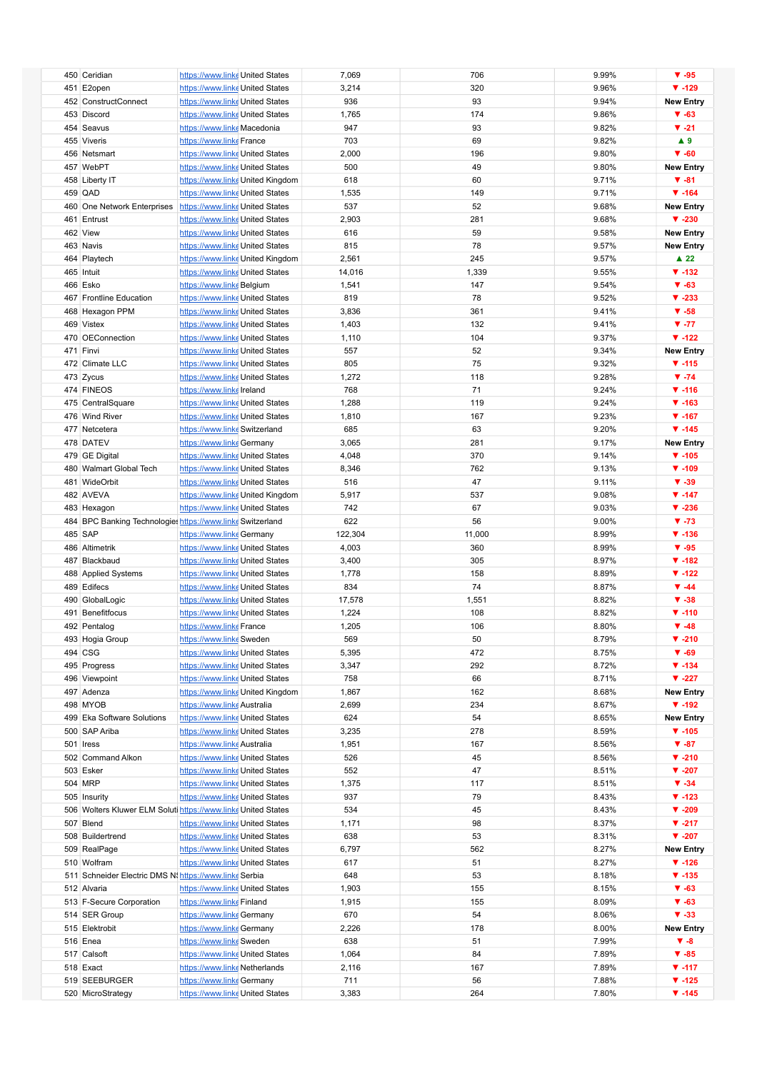| 450 Ceridian                                                  | https://www.linke United States |                                  | 7,069   | 706    | 9.99% | $\Psi - 95$               |
|---------------------------------------------------------------|---------------------------------|----------------------------------|---------|--------|-------|---------------------------|
|                                                               |                                 |                                  |         |        |       |                           |
| 451 E2open                                                    | https://www.linke United States |                                  | 3,214   | 320    | 9.96% | $\Psi - 129$              |
| 452 ConstructConnect                                          | https://www.linke United States |                                  | 936     | 93     | 9.94% | <b>New Entry</b>          |
| 453 Discord                                                   | https://www.linke United States |                                  | 1,765   | 174    | 9.86% | $\Psi - 63$               |
| 454 Seavus                                                    | https://www.linke Macedonia     |                                  | 947     | 93     | 9.82% | $\nabla -21$              |
| 455 Viveris                                                   | https://www.linke France        |                                  | 703     | 69     | 9.82% | $\blacktriangle$ 9        |
|                                                               |                                 |                                  |         |        |       |                           |
| 456 Netsmart                                                  | https://www.linke United States |                                  | 2,000   | 196    | 9.80% | $\Psi - 60$               |
| 457 WebPT                                                     | https://www.linke United States |                                  | 500     | 49     | 9.80% | <b>New Entry</b>          |
| 458 Liberty IT                                                |                                 | https://www.linke United Kingdom | 618     | 60     | 9.71% | $\Psi - 81$               |
| 459 QAD                                                       | https://www.linke United States |                                  | 1,535   | 149    | 9.71% | $\Psi - 164$              |
| 460 One Network Enterprises                                   | https://www.linke United States |                                  | 537     | 52     | 9.68% | <b>New Entry</b>          |
|                                                               |                                 |                                  |         |        |       |                           |
| 461 Entrust                                                   | https://www.linke United States |                                  | 2,903   | 281    | 9.68% | $\Psi - 230$              |
| 462 View                                                      | https://www.linke United States |                                  | 616     | 59     | 9.58% | <b>New Entry</b>          |
| 463 Navis                                                     | https://www.linke United States |                                  | 815     | 78     | 9.57% | <b>New Entry</b>          |
| 464 Playtech                                                  |                                 | https://www.linke United Kingdom | 2,561   | 245    | 9.57% | $\blacktriangle$ 22       |
| 465 Intuit                                                    | https://www.linke United States |                                  | 14,016  | 1,339  | 9.55% | $\Psi - 132$              |
| 466 Esko                                                      |                                 |                                  |         |        |       | $\Psi - 63$               |
|                                                               | https://www.linke Belgium       |                                  | 1,541   | 147    | 9.54% |                           |
| 467 Frontline Education                                       | https://www.linke United States |                                  | 819     | 78     | 9.52% | $\Psi - 233$              |
| 468 Hexagon PPM                                               | https://www.linke United States |                                  | 3,836   | 361    | 9.41% | $\Psi - 58$               |
| 469 Vistex                                                    | https://www.linke United States |                                  | 1,403   | 132    | 9.41% | $V - 77$                  |
| 470 OEConnection                                              | https://www.linke United States |                                  | 1,110   | 104    | 9.37% | $\P$ -122                 |
| 471 Finvi                                                     | https://www.linke United States |                                  | 557     | 52     | 9.34% | <b>New Entry</b>          |
|                                                               |                                 |                                  |         |        |       |                           |
| 472 Climate LLC                                               | https://www.linke United States |                                  | 805     | 75     | 9.32% | $V - 115$                 |
| 473 Zycus                                                     | https://www.linke United States |                                  | 1,272   | 118    | 9.28% | $\Psi - 74$               |
| 474 FINEOS                                                    | https://www.linkelreland        |                                  | 768     | 71     | 9.24% | $\Psi - 116$              |
| 475 CentralSquare                                             | https://www.linke United States |                                  | 1,288   | 119    | 9.24% | $\Psi - 163$              |
| 476 Wind River                                                | https://www.linke United States |                                  | 1,810   | 167    | 9.23% | $\Psi - 167$              |
|                                                               |                                 |                                  |         |        |       |                           |
| 477 Netcetera                                                 | https://www.linke Switzerland   |                                  | 685     | 63     | 9.20% | $\P$ -145                 |
| 478 DATEV                                                     | https://www.linke Germany       |                                  | 3,065   | 281    | 9.17% | <b>New Entry</b>          |
| 479 GE Digital                                                | https://www.linke United States |                                  | 4,048   | 370    | 9.14% | $\Psi - 105$              |
| 480 Walmart Global Tech                                       | https://www.linke United States |                                  | 8,346   | 762    | 9.13% | $\Psi - 109$              |
| 481 WideOrbit                                                 | https://www.linke United States |                                  | 516     | 47     | 9.11% | $\Psi - 39$               |
|                                                               |                                 |                                  |         |        |       |                           |
| 482 AVEVA                                                     |                                 | https://www.linke United Kingdom | 5,917   | 537    | 9.08% | $\Psi - 147$              |
| 483 Hexagon                                                   | https://www.linke United States |                                  | 742     | 67     | 9.03% | $\Psi - 236$              |
| 484 BPC Banking Technologies https://www.links Switzerland    |                                 |                                  | 622     | 56     | 9.00% | $\Psi - 73$               |
| 485 SAP                                                       | https://www.linke Germany       |                                  | 122,304 | 11,000 | 8.99% | $\Psi - 136$              |
| 486 Altimetrik                                                | https://www.linke United States |                                  | 4,003   | 360    | 8.99% | $\Psi - 95$               |
| 487 Blackbaud                                                 | https://www.linke United States |                                  |         | 305    | 8.97% | $\Psi - 182$              |
|                                                               |                                 |                                  | 3,400   |        |       |                           |
| 488 Applied Systems                                           | https://www.linke United States |                                  | 1,778   | 158    | 8.89% | $\P$ -122                 |
| 489 Edifecs                                                   | https://www.linke United States |                                  | 834     | 74     | 8.87% | $\Psi - 44$               |
| 490 GlobalLogic                                               | https://www.linke United States |                                  | 17,578  | 1,551  | 8.82% | $\Psi - 38$               |
| 491 Benefitfocus                                              | https://www.linke United States |                                  | 1,224   | 108    | 8.82% | $\Psi - 110$              |
|                                                               |                                 |                                  |         | 106    | 8.80% | $\Psi - 48$               |
| 492 Pentalog                                                  | https://www.linke France        |                                  | 1,205   |        |       |                           |
| 493 Hogia Group                                               | https://www.linke Sweden        |                                  | 569     | 50     | 8.79% | $\Psi - 210$              |
| 494 CSG                                                       | https://www.linke United States |                                  | 5,395   | 472    | 8.75% | $\Psi - 69$               |
| 495 Progress                                                  | https://www.linke United States |                                  | 3,347   | 292    | 8.72% | $\Psi - 134$              |
| 496 Viewpoint                                                 | https://www.linke United States |                                  | 758     | 66     | 8.71% | $\blacktriangledown$ -227 |
| 497 Adenza                                                    |                                 | https://www.linke United Kingdom | 1,867   | 162    | 8.68% | <b>New Entry</b>          |
|                                                               |                                 |                                  |         |        |       |                           |
| 498 MYOB                                                      | https://www.linke Australia     |                                  | 2,699   | 234    | 8.67% | $\Psi - 192$              |
| 499 Eka Software Solutions                                    | https://www.linke United States |                                  | 624     | 54     | 8.65% | <b>New Entry</b>          |
| 500 SAP Ariba                                                 | https://www.linke United States |                                  | 3,235   | 278    | 8.59% | $\Psi - 105$              |
| 501 Iress                                                     | https://www.linke Australia     |                                  | 1,951   | 167    | 8.56% | $\Psi - 87$               |
| 502 Command Alkon                                             | https://www.linke United States |                                  | 526     | 45     | 8.56% | $\Psi - 210$              |
| 503 Esker                                                     |                                 |                                  | 552     | 47     |       | $\Psi - 207$              |
|                                                               | https://www.linke United States |                                  |         |        | 8.51% |                           |
| 504 MRP                                                       | https://www.linke United States |                                  | 1,375   | 117    | 8.51% | $\Psi - 34$               |
| 505 Insurity                                                  | https://www.linke United States |                                  | 937     | 79     | 8.43% | $\Psi - 123$              |
| 506 Wolters Kluwer ELM Soluti https://www.linke United States |                                 |                                  | 534     | 45     | 8.43% | $\blacktriangledown$ -209 |
| 507 Blend                                                     | https://www.linke United States |                                  | 1,171   | 98     | 8.37% | $\Psi -217$               |
| 508 Buildertrend                                              | https://www.linke United States |                                  | 638     | 53     | 8.31% | $\blacktriangledown$ -207 |
|                                                               |                                 |                                  |         |        |       |                           |
| 509 RealPage                                                  | https://www.linke United States |                                  | 6,797   | 562    | 8.27% | <b>New Entry</b>          |
| 510 Wolfram                                                   | https://www.linke United States |                                  | 617     | 51     | 8.27% | $\P$ -126                 |
| 511 Schneider Electric DMS N. https://www.linke Serbia        |                                 |                                  | 648     | 53     | 8.18% | $\Psi - 135$              |
| 512 Alvaria                                                   | https://www.linke United States |                                  | 1,903   | 155    | 8.15% | $\Psi - 63$               |
| 513 F-Secure Corporation                                      | https://www.linke Finland       |                                  | 1,915   | 155    | 8.09% | $\Psi - 63$               |
| 514 SER Group                                                 | https://www.linke Germany       |                                  | 670     | 54     | 8.06% | $\Psi - 33$               |
|                                                               |                                 |                                  |         |        |       |                           |
| 515 Elektrobit                                                | https://www.linke Germany       |                                  | 2,226   | 178    | 8.00% | <b>New Entry</b>          |
| 516 Enea                                                      | https://www.linke Sweden        |                                  | 638     | 51     | 7.99% | $V - 8$                   |
| 517 Calsoft                                                   | https://www.linke United States |                                  | 1,064   | 84     | 7.89% | $\Psi - 85$               |
| 518 Exact                                                     | https://www.linke Netherlands   |                                  | 2,116   | 167    | 7.89% | $\Psi - 117$              |
| 519 SEEBURGER                                                 | https://www.linke Germany       |                                  | 711     | 56     | 7.88% | $\Psi - 125$              |
|                                                               |                                 |                                  |         |        |       |                           |
| 520 MicroStrategy                                             | https://www.linke United States |                                  | 3,383   | 264    | 7.80% | $\Psi - 145$              |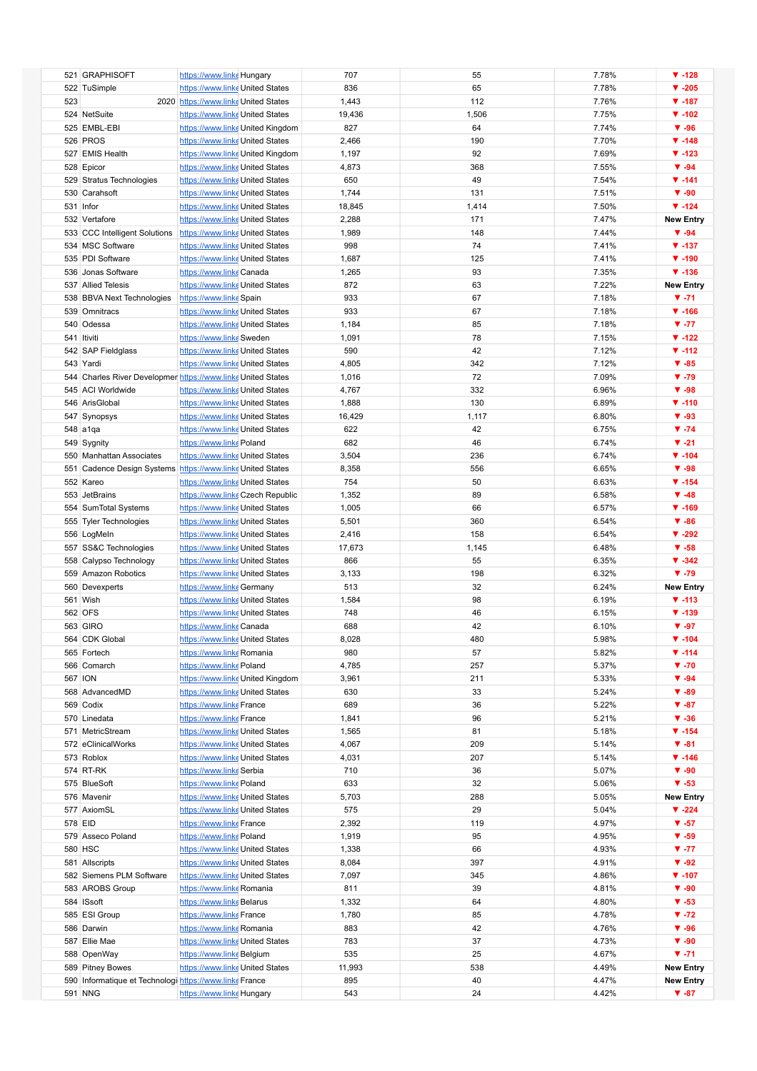|         | 521 GRAPHISOFT                                               | https://www.linke Hungary            |                                  | 707    | 55    | 7.78% | $\P$ -128                |
|---------|--------------------------------------------------------------|--------------------------------------|----------------------------------|--------|-------|-------|--------------------------|
|         | 522 TuSimple                                                 | https://www.linke United States      |                                  | 836    | 65    | 7.78% | $\Psi - 205$             |
| 523     |                                                              | 2020 https://www.linke United States |                                  | 1,443  | 112   | 7.76% | $\Psi - 187$             |
|         | 524 NetSuite                                                 | https://www.linke United States      |                                  | 19,436 | 1,506 | 7.75% | $\Psi - 102$             |
|         | 525 EMBL-EBI                                                 |                                      | https://www.linke United Kingdom | 827    | 64    | 7.74% | $\Psi - 96$              |
|         | 526 PROS                                                     | https://www.linke United States      |                                  | 2,466  | 190   | 7.70% | $\Psi - 148$             |
|         | 527 EMIS Health                                              |                                      |                                  |        | 92    |       | $\Psi - 123$             |
|         |                                                              |                                      | https://www.linke United Kingdom | 1,197  |       | 7.69% |                          |
|         | 528 Epicor                                                   | https://www.linke United States      |                                  | 4,873  | 368   | 7.55% | $\Psi - 94$              |
|         | 529 Stratus Technologies                                     | https://www.linke United States      |                                  | 650    | 49    | 7.54% | $\Psi - 141$             |
|         | 530 Carahsoft                                                | https://www.linke United States      |                                  | 1,744  | 131   | 7.51% | $\Psi - 90$              |
|         | 531 Infor                                                    | https://www.linke United States      |                                  | 18,845 | 1,414 | 7.50% | $\Psi - 124$             |
|         | 532 Vertafore                                                | https://www.linke United States      |                                  | 2,288  | 171   | 7.47% | <b>New Entry</b>         |
|         | 533 CCC Intelligent Solutions                                | https://www.linke United States      |                                  | 1,989  | 148   | 7.44% | $\Psi - 94$              |
|         | 534 MSC Software                                             | https://www.linke United States      |                                  | 998    | 74    | 7.41% | $\Psi - 137$             |
|         | 535 PDI Software                                             | https://www.linke United States      |                                  | 1,687  | 125   | 7.41% | $\Psi - 190$             |
|         | 536 Jonas Software                                           | https://www.linke Canada             |                                  | 1,265  | 93    | 7.35% | $\Psi - 136$             |
|         | 537 Allied Telesis                                           | https://www.linke United States      |                                  | 872    | 63    | 7.22% | <b>New Entry</b>         |
|         | 538 BBVA Next Technologies                                   | https://www.linke Spain              |                                  | 933    | 67    | 7.18% | $V - 71$                 |
|         | 539 Omnitracs                                                | https://www.linke United States      |                                  | 933    | 67    | 7.18% | $\Psi - 166$             |
|         | 540 Odessa                                                   | https://www.linke United States      |                                  | 1,184  | 85    | 7.18% | $V - 77$                 |
|         | 541 Itiviti                                                  | https://www.linke Sweden             |                                  | 1,091  | 78    | 7.15% | $\P$ -122                |
|         |                                                              |                                      |                                  | 590    | 42    | 7.12% |                          |
|         | 542 SAP Fieldglass                                           | https://www.linke United States      |                                  |        |       |       | $\P$ -112                |
|         | 543 Yardi                                                    | https://www.linke United States      |                                  | 4,805  | 342   | 7.12% | $\Psi - 85$              |
|         | 544 Charles River Developmer https://www.linke United States |                                      |                                  | 1,016  | 72    | 7.09% | $\Psi - 79$              |
|         | 545 ACI Worldwide                                            | https://www.linke United States      |                                  | 4,767  | 332   | 6.96% | $\Psi - 98$              |
|         | 546 ArisGlobal                                               | https://www.linke United States      |                                  | 1,888  | 130   | 6.89% | $V - 110$                |
|         | 547 Synopsys                                                 | https://www.linke United States      |                                  | 16,429 | 1,117 | 6.80% | $\Psi - 93$              |
|         | 548 a1qa                                                     | https://www.linke United States      |                                  | 622    | 42    | 6.75% | $\Psi - 74$              |
|         | 549 Sygnity                                                  | https://www.linke Poland             |                                  | 682    | 46    | 6.74% | $\blacktriangledown$ -21 |
|         | 550 Manhattan Associates                                     | https://www.linke United States      |                                  | 3,504  | 236   | 6.74% | $\Psi - 104$             |
|         | 551 Cadence Design Systems https://www.linke United States   |                                      |                                  | 8,358  | 556   | 6.65% | $\Psi - 98$              |
|         | 552 Kareo                                                    | https://www.linke United States      |                                  | 754    | 50    | 6.63% | $\Psi - 154$             |
|         | 553 JetBrains                                                |                                      | https://www.linke Czech Republic | 1,352  | 89    | 6.58% | $\Psi - 48$              |
|         | 554 SumTotal Systems                                         | https://www.linke United States      |                                  | 1,005  | 66    | 6.57% | $\Psi - 169$             |
|         | 555 Tyler Technologies                                       | https://www.linke United States      |                                  | 5,501  | 360   | 6.54% | $\Psi - 86$              |
|         | 556 LogMeln                                                  | https://www.linke United States      |                                  | 2,416  | 158   | 6.54% | $\Psi - 292$             |
|         |                                                              |                                      |                                  |        |       |       |                          |
|         | 557 SS&C Technologies                                        | https://www.linke United States      |                                  | 17,673 | 1,145 | 6.48% | $\Psi - 58$              |
|         | 558 Calypso Technology                                       | https://www.linke United States      |                                  | 866    | 55    | 6.35% | $V - 342$                |
|         | 559 Amazon Robotics                                          | https://www.linke United States      |                                  | 3,133  | 198   | 6.32% | $\Psi - 79$              |
|         | 560 Devexperts                                               | https://www.linke Germany            |                                  | 513    | 32    | 6.24% | <b>New Entry</b>         |
|         | 561 Wish                                                     | https://www.linke United States      |                                  | 1,584  | 98    | 6.19% | $\Psi - 113$             |
|         | 562 OFS                                                      | https://www.linke United States      |                                  | 748    | 46    | 6.15% | $\Psi - 139$             |
|         | 563 GIRO                                                     | https://www.linke Canada             |                                  | 688    | 42    | 6.10% | $\Psi - 97$              |
|         | 564 CDK Global                                               | https://www.linke United States      |                                  | 8,028  | 480   | 5.98% | ▼ -104                   |
|         | 565 Fortech                                                  | https://www.linke Romania            |                                  | 980    | 57    | 5.82% | $\Psi - 114$             |
|         | 566 Comarch                                                  | https://www.linke Poland             |                                  | 4,785  | 257   | 5.37% | $\Psi - 70$              |
|         | 567 ION                                                      |                                      | https://www.linke United Kingdom | 3,961  | 211   | 5.33% | $\Psi - 94$              |
|         | 568 AdvancedMD                                               | https://www.linke United States      |                                  | 630    | 33    | 5.24% | $\Psi - 89$              |
|         | 569 Codix                                                    | https://www.linke France             |                                  | 689    | 36    | 5.22% | $\Psi - 87$              |
|         | 570 Linedata                                                 | https://www.linke France             |                                  | 1,841  | 96    | 5.21% | $\Psi - 36$              |
|         | 571 MetricStream                                             | https://www.linke United States      |                                  | 1,565  | 81    | 5.18% | $\Psi - 154$             |
|         | 572 eClinicalWorks                                           | https://www.linke United States      |                                  | 4,067  | 209   | 5.14% | $\Psi - 81$              |
|         |                                                              |                                      |                                  |        | 207   |       | $\Psi - 146$             |
|         | 573 Roblox                                                   | https://www.linke United States      |                                  | 4,031  |       | 5.14% |                          |
|         | 574 RT-RK                                                    | https://www.linke Serbia             |                                  | 710    | 36    | 5.07% | $\Psi - 90$              |
|         | 575 BlueSoft                                                 | https://www.linke Poland             |                                  | 633    | 32    | 5.06% | $\Psi - 53$              |
|         | 576 Mavenir                                                  | https://www.linke United States      |                                  | 5,703  | 288   | 5.05% | <b>New Entry</b>         |
|         | 577 AxiomSL                                                  | https://www.linke United States      |                                  | 575    | 29    | 5.04% | $\P$ -224                |
| 578 EID |                                                              | https://www.linke France             |                                  | 2,392  | 119   | 4.97% | $\Psi - 57$              |
|         | 579 Asseco Poland                                            | https://www.linke Poland             |                                  | 1,919  | 95    | 4.95% | $\Psi - 59$              |
|         | 580 HSC                                                      | https://www.linke United States      |                                  | 1,338  | 66    | 4.93% | $V - 77$                 |
|         | 581 Allscripts                                               | https://www.linke United States      |                                  | 8,084  | 397   | 4.91% | $\Psi - 92$              |
|         | 582 Siemens PLM Software                                     | https://www.linke United States      |                                  | 7,097  | 345   | 4.86% | $\Psi - 107$             |
|         | 583 AROBS Group                                              | https://www.linke Romania            |                                  | 811    | 39    | 4.81% | $\Psi - 90$              |
|         | 584 ISsoft                                                   | https://www.linke Belarus            |                                  | 1,332  | 64    | 4.80% | $\Psi - 53$              |
|         | 585 ESI Group                                                | https://www.linke France             |                                  | 1,780  | 85    | 4.78% | $\Psi - 72$              |
|         | 586 Darwin                                                   | https://www.linke Romania            |                                  | 883    | 42    | 4.76% | $\Psi - 96$              |
|         | 587 Ellie Mae                                                | https://www.linke United States      |                                  | 783    | 37    | 4.73% | $\Psi - 90$              |
|         | 588 OpenWay                                                  | https://www.linke Belgium            |                                  | 535    | 25    | 4.67% | $\Psi - 71$              |
|         | 589 Pitney Bowes                                             | https://www.linke United States      |                                  | 11,993 | 538   | 4.49% | <b>New Entry</b>         |
|         | 590 Informatique et Technologi https://www.linke France      |                                      |                                  | 895    | 40    | 4.47% | <b>New Entry</b>         |
|         | 591 NNG                                                      | https://www.linke Hungary            |                                  | 543    | 24    | 4.42% | $\Psi - 87$              |
|         |                                                              |                                      |                                  |        |       |       |                          |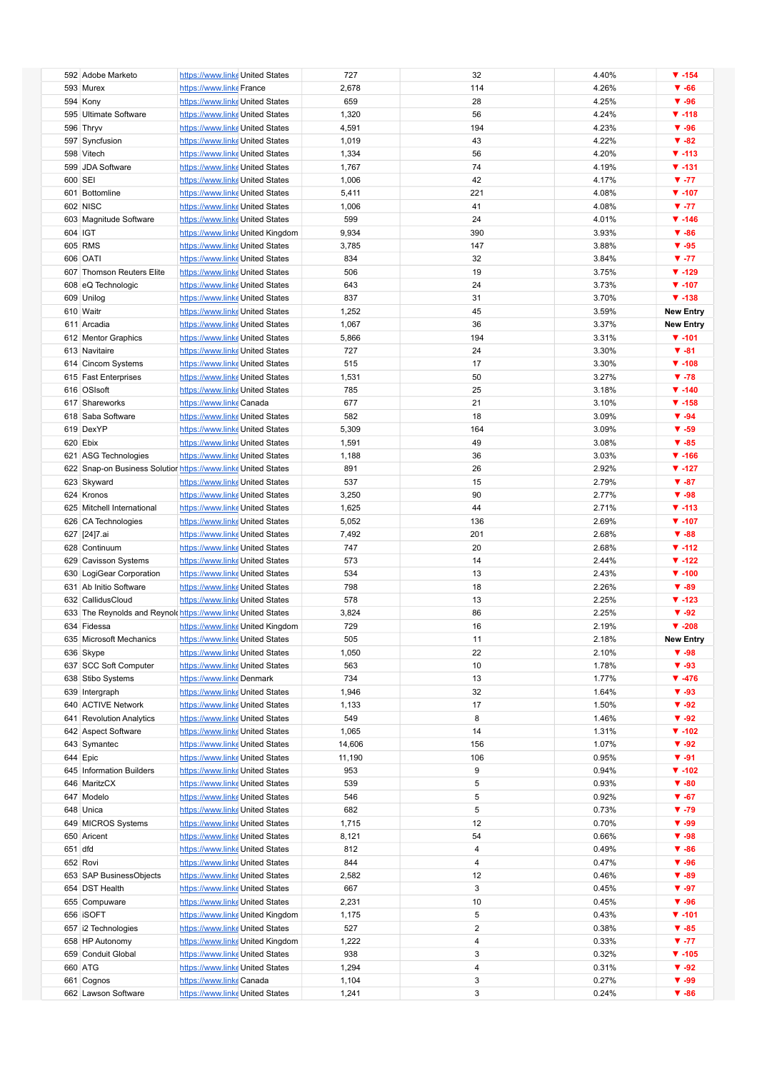|         | 592 Adobe Marketo          | https://www.linke United States                               | 727    | 32             | 4.40% | $\P$ -154        |
|---------|----------------------------|---------------------------------------------------------------|--------|----------------|-------|------------------|
|         |                            |                                                               |        |                |       |                  |
|         | 593 Murex                  | https://www.linke France                                      | 2,678  | 114            | 4.26% | $\Psi - 66$      |
|         | 594 Kony                   | https://www.linke United States                               | 659    | 28             | 4.25% | $\Psi - 96$      |
|         | 595 Ultimate Software      | https://www.linke United States                               | 1,320  | 56             | 4.24% | $\Psi - 118$     |
|         | 596 Thryv                  | https://www.linke United States                               | 4,591  | 194            | 4.23% | $\Psi - 96$      |
|         |                            |                                                               |        |                |       |                  |
|         | 597 Syncfusion             | https://www.linke United States                               | 1,019  | 43             | 4.22% | $\Psi - 82$      |
|         | 598 Vitech                 | https://www.linke United States                               | 1,334  | 56             | 4.20% | $\Psi - 113$     |
|         | 599 JDA Software           | https://www.linke United States                               | 1,767  | 74             | 4.19% | $V - 131$        |
| 600 SEI |                            | https://www.linke United States                               | 1,006  | 42             | 4.17% | $V - 77$         |
|         |                            |                                                               |        |                |       |                  |
|         | 601 Bottomline             | https://www.linke United States                               | 5,411  | 221            | 4.08% | $\Psi - 107$     |
|         | 602 NISC                   | https://www.linke United States                               | 1,006  | 41             | 4.08% | $V - 77$         |
|         | 603 Magnitude Software     | https://www.linke United States                               | 599    | 24             | 4.01% | $\Psi - 146$     |
| 604 IGT |                            | https://www.linke United Kingdom                              | 9,934  | 390            | 3.93% | $\Psi - 86$      |
|         |                            |                                                               |        |                |       |                  |
|         | 605 RMS                    | https://www.linke United States                               | 3,785  | 147            | 3.88% | $\Psi - 95$      |
|         | 606 OATI                   | https://www.linke United States                               | 834    | 32             | 3.84% | $V - 77$         |
|         | 607 Thomson Reuters Elite  | https://www.linke United States                               | 506    | 19             | 3.75% | $\P$ -129        |
|         | 608 eQ Technologic         | https://www.linke United States                               | 643    | 24             | 3.73% | $\Psi - 107$     |
|         |                            |                                                               |        |                |       |                  |
|         | 609 Unilog                 | https://www.linke United States                               | 837    | 31             | 3.70% | $\Psi - 138$     |
|         | 610 Waitr                  | https://www.linke United States                               | 1,252  | 45             | 3.59% | <b>New Entry</b> |
|         | 611 Arcadia                | https://www.linke United States                               | 1,067  | 36             | 3.37% | <b>New Entry</b> |
|         | 612 Mentor Graphics        | https://www.linke United States                               | 5,866  | 194            | 3.31% | $\Psi - 101$     |
|         |                            |                                                               | 727    |                |       | $\Psi - 81$      |
|         | 613 Navitaire              | https://www.linke United States                               |        | 24             | 3.30% |                  |
|         | 614 Cincom Systems         | https://www.linke United States                               | 515    | 17             | 3.30% | $\Psi - 108$     |
|         | 615 Fast Enterprises       | https://www.linke United States                               | 1,531  | 50             | 3.27% | $\Psi - 78$      |
|         | 616 OSIsoft                | https://www.linke United States                               | 785    | 25             | 3.18% | $\P$ -140        |
|         |                            |                                                               |        |                |       | $\Psi - 158$     |
|         | 617 Shareworks             | https://www.linke Canada                                      | 677    | 21             | 3.10% |                  |
|         | 618 Saba Software          | https://www.linke United States                               | 582    | 18             | 3.09% | $\Psi - 94$      |
|         | 619 DexYP                  | https://www.linke United States                               | 5,309  | 164            | 3.09% | $\Psi - 59$      |
|         | 620 Ebix                   | https://www.linke United States                               | 1,591  | 49             | 3.08% | $\Psi - 85$      |
|         |                            |                                                               |        | 36             | 3.03% | $\Psi - 166$     |
|         | 621 ASG Technologies       | https://www.linke United States                               | 1,188  |                |       |                  |
|         |                            | 622 Snap-on Business Solution https://www.linke United States | 891    | 26             | 2.92% | $\P$ -127        |
|         | 623 Skyward                | https://www.linke United States                               | 537    | 15             | 2.79% | $\Psi - 87$      |
|         | 624 Kronos                 | https://www.linke United States                               | 3,250  | 90             | 2.77% | $\Psi - 98$      |
|         | 625 Mitchell International |                                                               |        | 44             | 2.71% | $\Psi - 113$     |
|         |                            | https://www.linke United States                               | 1,625  |                |       |                  |
|         | 626 CA Technologies        | https://www.linke United States                               | 5,052  | 136            | 2.69% | $\Psi - 107$     |
|         | 627 [24]7.ai               | https://www.linke United States                               | 7,492  | 201            | 2.68% | $\Psi - 88$      |
|         | 628 Continuum              | https://www.linke United States                               | 747    | 20             | 2.68% | $\P$ -112        |
|         |                            | https://www.linke United States                               | 573    | 14             | 2.44% | $\P$ -122        |
|         | 629 Cavisson Systems       |                                                               |        |                |       |                  |
|         | 630 LogiGear Corporation   | https://www.linke United States                               | 534    | 13             | 2.43% | $\Psi - 100$     |
|         | 631 Ab Initio Software     | https://www.linke United States                               | 798    | 18             | 2.26% | $\Psi - 89$      |
|         | 632 CallidusCloud          | https://www.linke United States                               | 578    | 13             | 2.25% | $\Psi - 123$     |
|         |                            | 633 The Reynolds and Reynold https://www.linke United States  |        | 86             |       | $\Psi - 92$      |
|         |                            |                                                               | 3,824  |                | 2.25% |                  |
|         | 634 Fidessa                | https://www.linke United Kingdom                              | 729    | 16             | 2.19% | $\Psi - 208$     |
|         | 635 Microsoft Mechanics    | https://www.linke United States                               | 505    | 11             | 2.18% | <b>New Entry</b> |
|         | 636 Skype                  | https://www.linke United States                               | 1,050  | 22             | 2.10% | $\Psi - 98$      |
|         | 637 SCC Soft Computer      | https://www.linke United States                               | 563    | 10             | 1.78% | $\Psi - 93$      |
|         |                            |                                                               |        |                |       |                  |
|         | 638 Stibo Systems          | https://www.linke Denmark                                     | 734    | 13             | 1.77% | $\Psi - 476$     |
|         | 639 Intergraph             | https://www.linke United States                               | 1,946  | 32             | 1.64% | $\Psi - 93$      |
|         | 640 ACTIVE Network         | https://www.linke United States                               | 1,133  | 17             | 1.50% | $\Psi - 92$      |
|         | 641 Revolution Analytics   | https://www.linke United States                               | 549    | 8              | 1.46% | $\Psi - 92$      |
|         |                            |                                                               |        |                |       |                  |
|         | 642 Aspect Software        | https://www.linke United States                               | 1,065  | 14             | 1.31% | $\P$ -102        |
|         | 643 Symantec               | https://www.linke United States                               | 14,606 | 156            | 1.07% | $\Psi - 92$      |
|         | 644 Epic                   | https://www.linke United States                               | 11,190 | 106            | 0.95% | $\Psi - 91$      |
|         | 645 Information Builders   | https://www.linke United States                               | 953    | 9              | 0.94% | $\P$ -102        |
|         |                            |                                                               |        |                |       |                  |
|         | 646 MaritzCX               | https://www.linke United States                               | 539    | 5              | 0.93% | $\Psi - 80$      |
|         | 647 Modelo                 | https://www.linke United States                               | 546    | 5              | 0.92% | $\Psi - 67$      |
|         | 648 Unica                  | https://www.linke United States                               | 682    | 5              | 0.73% | $\Psi - 79$      |
|         | 649 MICROS Systems         | https://www.linke United States                               | 1,715  | 12             | 0.70% | $\Psi - 99$      |
|         |                            |                                                               |        |                |       |                  |
|         | 650 Aricent                | https://www.linke United States                               | 8,121  | 54             | 0.66% | $\Psi - 98$      |
| 651 dfd |                            | https://www.linke United States                               | 812    | 4              | 0.49% | $\Psi - 86$      |
|         | 652 Rovi                   | https://www.linke United States                               | 844    | 4              | 0.47% | $\Psi - 96$      |
|         | 653 SAP BusinessObjects    | https://www.linke United States                               | 2,582  | 12             | 0.46% | $\Psi - 89$      |
|         |                            |                                                               |        |                |       |                  |
|         | 654 DST Health             | https://www.linke United States                               | 667    | 3              | 0.45% | $\Psi - 97$      |
|         | 655 Compuware              | https://www.linke United States                               | 2,231  | 10             | 0.45% | $\Psi - 96$      |
|         | 656 ISOFT                  | https://www.linke United Kingdom                              | 1,175  | 5              | 0.43% | $V - 101$        |
|         | 657 i2 Technologies        | https://www.linke United States                               | 527    | $\overline{2}$ | 0.38% | $\Psi - 85$      |
|         |                            |                                                               |        | 4              |       |                  |
|         | 658 HP Autonomy            | https://www.linke United Kingdom                              | 1,222  |                | 0.33% | $V - 77$         |
|         | 659 Conduit Global         | https://www.linke United States                               | 938    | 3              | 0.32% | $\Psi - 105$     |
|         | 660 ATG                    | https://www.linke United States                               | 1,294  | 4              | 0.31% | $\Psi - 92$      |
|         | 661 Cognos                 | https://www.linke Canada                                      | 1,104  | 3              | 0.27% | $\Psi - 99$      |
|         | 662 Lawson Software        | https://www.linke United States                               | 1,241  | 3              | 0.24% | $\Psi - 86$      |
|         |                            |                                                               |        |                |       |                  |